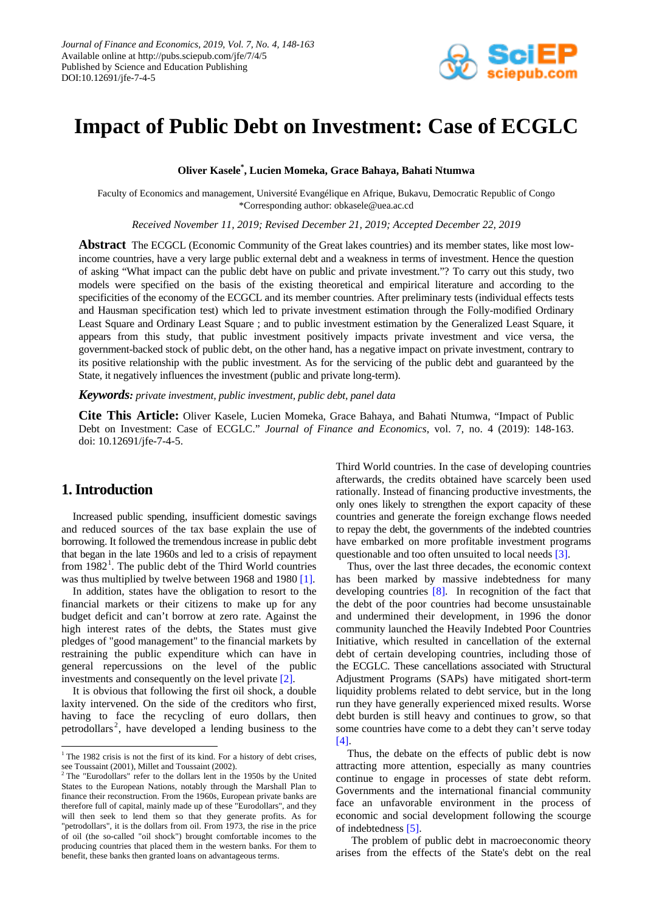

# **Impact of Public Debt on Investment: Case of ECGLC**

**Oliver Kasele\* , Lucien Momeka, Grace Bahaya, Bahati Ntumwa**

Faculty of Economics and management, Université Evangélique en Afrique, Bukavu, Democratic Republic of Congo \*Corresponding author: obkasele@uea.ac.cd

*Received November 11, 2019; Revised December 21, 2019; Accepted December 22, 2019*

**Abstract** The ECGCL (Economic Community of the Great lakes countries) and its member states, like most lowincome countries, have a very large public external debt and a weakness in terms of investment. Hence the question of asking "What impact can the public debt have on public and private investment."? To carry out this study, two models were specified on the basis of the existing theoretical and empirical literature and according to the specificities of the economy of the ECGCL and its member countries. After preliminary tests (individual effects tests and Hausman specification test) which led to private investment estimation through the Folly-modified Ordinary Least Square and Ordinary Least Square ; and to public investment estimation by the Generalized Least Square, it appears from this study, that public investment positively impacts private investment and vice versa, the government-backed stock of public debt, on the other hand, has a negative impact on private investment, contrary to its positive relationship with the public investment. As for the servicing of the public debt and guaranteed by the State, it negatively influences the investment (public and private long-term).

*Keywords: private investment, public investment, public debt, panel data*

**Cite This Article:** Oliver Kasele, Lucien Momeka, Grace Bahaya, and Bahati Ntumwa, "Impact of Public Debt on Investment: Case of ECGLC." *Journal of Finance and Economics*, vol. 7, no. 4 (2019): 148-163. doi: 10.12691/jfe-7-4-5.

# **1. Introduction**

 $\overline{\phantom{0}}$ 

Increased public spending, insufficient domestic savings and reduced sources of the tax base explain the use of borrowing. It followed the tremendous increase in public debt that began in the late 1960s and led to a crisis of repayment from  $1982<sup>1</sup>$  $1982<sup>1</sup>$ . The public debt of the Third World countries was thus multiplied by twelve between 1968 and 1980 [\[1\].](#page-14-0)

In addition, states have the obligation to resort to the financial markets or their citizens to make up for any budget deficit and can't borrow at zero rate. Against the high interest rates of the debts, the States must give pledges of "good management" to the financial markets by restraining the public expenditure which can have in general repercussions on the level of the public investments and consequently on the level privat[e \[2\].](#page-14-1)

It is obvious that following the first oil shock, a double laxity intervened. On the side of the creditors who first, having to face the recycling of euro dollars, then petrodollars<sup>[2](#page-0-1)</sup>, have developed a lending business to the Third World countries. In the case of developing countries afterwards, the credits obtained have scarcely been used rationally. Instead of financing productive investments, the only ones likely to strengthen the export capacity of these countries and generate the foreign exchange flows needed to repay the debt, the governments of the indebted countries have embarked on more profitable investment programs questionable and too often unsuited to local needs [\[3\].](#page-14-2)

Thus, over the last three decades, the economic context has been marked by massive indebtedness for many developing countries [\[8\].](#page-14-3) In recognition of the fact that the debt of the poor countries had become unsustainable and undermined their development, in 1996 the donor community launched the Heavily Indebted Poor Countries Initiative, which resulted in cancellation of the external debt of certain developing countries, including those of the ECGLC. These cancellations associated with Structural Adjustment Programs (SAPs) have mitigated short-term liquidity problems related to debt service, but in the long run they have generally experienced mixed results. Worse debt burden is still heavy and continues to grow, so that some countries have come to a debt they can't serve today [\[4\].](#page-14-4)

Thus, the debate on the effects of public debt is now attracting more attention, especially as many countries continue to engage in processes of state debt reform. Governments and the international financial community face an unfavorable environment in the process of economic and social development following the scourge of indebtedness [\[5\].](#page-14-5)

The problem of public debt in macroeconomic theory arises from the effects of the State's debt on the real

<span id="page-0-0"></span> $1$ <sup>1</sup> The 1982 crisis is not the first of its kind. For a history of debt crises, see Toussaint (2001), Millet and Toussaint (2002).

<span id="page-0-1"></span><sup>&</sup>lt;sup>2</sup> The "Eurodollars" refer to the dollars lent in the 1950s by the United States to the European Nations, notably through the Marshall Plan to finance their reconstruction. From the 1960s, European private banks are therefore full of capital, mainly made up of these "Eurodollars", and they will then seek to lend them so that they generate profits. As for "petrodollars", it is the dollars from oil. From 1973, the rise in the price of oil (the so-called "oil shock") brought comfortable incomes to the producing countries that placed them in the western banks. For them to benefit, these banks then granted loans on advantageous terms.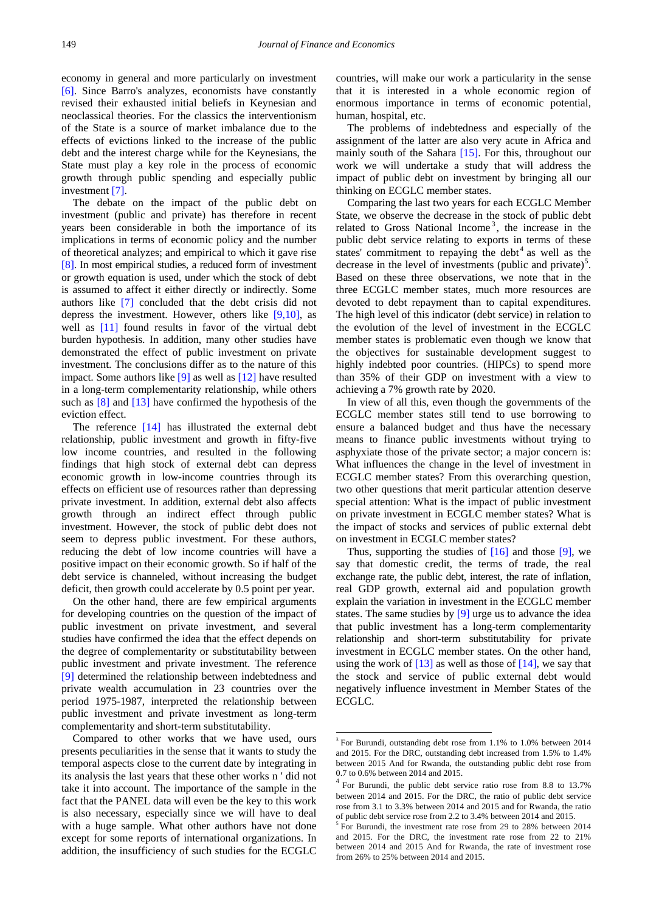economy in general and more particularly on investment [\[6\].](#page-14-6) Since Barro's analyzes, economists have constantly revised their exhausted initial beliefs in Keynesian and neoclassical theories. For the classics the interventionism of the State is a source of market imbalance due to the effects of evictions linked to the increase of the public debt and the interest charge while for the Keynesians, the State must play a key role in the process of economic growth through public spending and especially public investment [\[7\].](#page-14-7)

The debate on the impact of the public debt on investment (public and private) has therefore in recent years been considerable in both the importance of its implications in terms of economic policy and the number of theoretical analyzes; and empirical to which it gave rise [\[8\].](#page-14-3) In most empirical studies, a reduced form of investment or growth equation is used, under which the stock of debt is assumed to affect it either directly or indirectly. Some authors like [\[7\]](#page-14-7) concluded that the debt crisis did not depress the investment. However, others like  $[9,10]$ , as well as [\[11\]](#page-14-9) found results in favor of the virtual debt burden hypothesis. In addition, many other studies have demonstrated the effect of public investment on private investment. The conclusions differ as to the nature of this impact. Some authors like [\[9\]](#page-14-8) as well as [\[12\]](#page-14-10) have resulted in a long-term complementarity relationship, while others such as  $[8]$  and  $[13]$  have confirmed the hypothesis of the eviction effect.

The reference [\[14\]](#page-14-12) has illustrated the external debt relationship, public investment and growth in fifty-five low income countries, and resulted in the following findings that high stock of external debt can depress economic growth in low-income countries through its effects on efficient use of resources rather than depressing private investment. In addition, external debt also affects growth through an indirect effect through public investment. However, the stock of public debt does not seem to depress public investment. For these authors, reducing the debt of low income countries will have a positive impact on their economic growth. So if half of the debt service is channeled, without increasing the budget deficit, then growth could accelerate by 0.5 point per year.

On the other hand, there are few empirical arguments for developing countries on the question of the impact of public investment on private investment, and several studies have confirmed the idea that the effect depends on the degree of complementarity or substitutability between public investment and private investment. The reference [\[9\]](#page-14-8) determined the relationship between indebtedness and private wealth accumulation in 23 countries over the period 1975-1987, interpreted the relationship between public investment and private investment as long-term complementarity and short-term substitutability.

<span id="page-1-0"></span>Compared to other works that we have used, ours presents peculiarities in the sense that it wants to study the temporal aspects close to the current date by integrating in its analysis the last years that these other works n ' did not take it into account. The importance of the sample in the fact that the PANEL data will even be the key to this work is also necessary, especially since we will have to deal with a huge sample. What other authors have not done except for some reports of international organizations. In addition, the insufficiency of such studies for the ECGLC

countries, will make our work a particularity in the sense that it is interested in a whole economic region of enormous importance in terms of economic potential, human, hospital, etc.

The problems of indebtedness and especially of the assignment of the latter are also very acute in Africa and mainly south of the Sahara [\[15\].](#page-14-13) For this, throughout our work we will undertake a study that will address the impact of public debt on investment by bringing all our thinking on ECGLC member states.

Comparing the last two years for each ECGLC Member State, we observe the decrease in the stock of public debt related to Gross National Income<sup>[3](#page-1-0)</sup>, the increase in the public debt service relating to exports in terms of these states' commitment to repaying the debt<sup>[4](#page-1-0)</sup> as well as the decrease in the level of investments (public and private)<sup>[5](#page-1-0)</sup>. Based on these three observations, we note that in the three ECGLC member states, much more resources are devoted to debt repayment than to capital expenditures. The high level of this indicator (debt service) in relation to the evolution of the level of investment in the ECGLC member states is problematic even though we know that the objectives for sustainable development suggest to highly indebted poor countries. (HIPCs) to spend more than 35% of their GDP on investment with a view to achieving a 7% growth rate by 2020.

In view of all this, even though the governments of the ECGLC member states still tend to use borrowing to ensure a balanced budget and thus have the necessary means to finance public investments without trying to asphyxiate those of the private sector; a major concern is: What influences the change in the level of investment in ECGLC member states? From this overarching question, two other questions that merit particular attention deserve special attention: What is the impact of public investment on private investment in ECGLC member states? What is the impact of stocks and services of public external debt on investment in ECGLC member states?

Thus, supporting the studies of  $[16]$  and those  $[9]$ , we say that domestic credit, the terms of trade, the real exchange rate, the public debt, interest, the rate of inflation, real GDP growth, external aid and population growth explain the variation in investment in the ECGLC member states. The same studies by [\[9\]](#page-14-8) urge us to advance the idea that public investment has a long-term complementarity relationship and short-term substitutability for private investment in ECGLC member states. On the other hand, using the work of  $[13]$  as well as those of  $[14]$ , we say that the stock and service of public external debt would negatively influence investment in Member States of the ECGLC.

<u>.</u>

<sup>3</sup> For Burundi, outstanding debt rose from 1.1% to 1.0% between 2014 and 2015. For the DRC, outstanding debt increased from 1.5% to 1.4% between 2015 And for Rwanda, the outstanding public debt rose from 0.7 to 0.6% between 2014 and 2015.

<sup>4</sup> For Burundi, the public debt service ratio rose from 8.8 to 13.7% between 2014 and 2015. For the DRC, the ratio of public debt service rose from 3.1 to 3.3% between 2014 and 2015 and for Rwanda, the ratio of public debt service rose from 2.2 to 3.4% between 2014 and 2015.

 $^{\circ}$  For Burundi, the investment rate rose from 29 to 28% between 2014 and 2015. For the DRC, the investment rate rose from 22 to 21% between 2014 and 2015 And for Rwanda, the rate of investment rose from 26% to 25% between 2014 and 2015.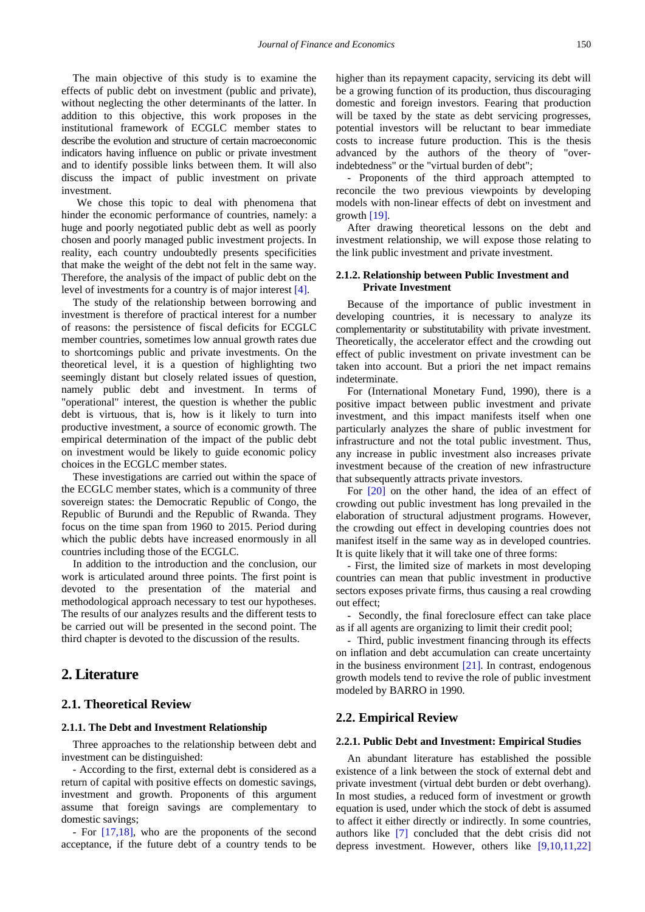The main objective of this study is to examine the effects of public debt on investment (public and private), without neglecting the other determinants of the latter. In addition to this objective, this work proposes in the institutional framework of ECGLC member states to describe the evolution and structure of certain macroeconomic indicators having influence on public or private investment and to identify possible links between them. It will also discuss the impact of public investment on private investment.

We chose this topic to deal with phenomena that hinder the economic performance of countries, namely: a huge and poorly negotiated public debt as well as poorly chosen and poorly managed public investment projects. In reality, each country undoubtedly presents specificities that make the weight of the debt not felt in the same way. Therefore, the analysis of the impact of public debt on the level of investments for a country is of major interes[t \[4\].](#page-14-4)

The study of the relationship between borrowing and investment is therefore of practical interest for a number of reasons: the persistence of fiscal deficits for ECGLC member countries, sometimes low annual growth rates due to shortcomings public and private investments. On the theoretical level, it is a question of highlighting two seemingly distant but closely related issues of question, namely public debt and investment. In terms of "operational" interest, the question is whether the public debt is virtuous, that is, how is it likely to turn into productive investment, a source of economic growth. The empirical determination of the impact of the public debt on investment would be likely to guide economic policy choices in the ECGLC member states.

These investigations are carried out within the space of the ECGLC member states, which is a community of three sovereign states: the Democratic Republic of Congo, the Republic of Burundi and the Republic of Rwanda. They focus on the time span from 1960 to 2015. Period during which the public debts have increased enormously in all countries including those of the ECGLC.

In addition to the introduction and the conclusion, our work is articulated around three points. The first point is devoted to the presentation of the material and methodological approach necessary to test our hypotheses. The results of our analyzes results and the different tests to be carried out will be presented in the second point. The third chapter is devoted to the discussion of the results.

### **2. Literature**

### **2.1. Theoretical Review**

#### **2.1.1. The Debt and Investment Relationship**

Three approaches to the relationship between debt and investment can be distinguished:

- According to the first, external debt is considered as a return of capital with positive effects on domestic savings, investment and growth. Proponents of this argument assume that foreign savings are complementary to domestic savings;

- For [\[17,18\],](#page-14-15) who are the proponents of the second acceptance, if the future debt of a country tends to be higher than its repayment capacity, servicing its debt will be a growing function of its production, thus discouraging domestic and foreign investors. Fearing that production will be taxed by the state as debt servicing progresses, potential investors will be reluctant to bear immediate costs to increase future production. This is the thesis advanced by the authors of the theory of "overindebtedness" or the "virtual burden of debt";

- Proponents of the third approach attempted to reconcile the two previous viewpoints by developing models with non-linear effects of debt on investment and growth  $[19]$ .

After drawing theoretical lessons on the debt and investment relationship, we will expose those relating to the link public investment and private investment.

### **2.1.2. Relationship between Public Investment and Private Investment**

Because of the importance of public investment in developing countries, it is necessary to analyze its complementarity or substitutability with private investment. Theoretically, the accelerator effect and the crowding out effect of public investment on private investment can be taken into account. But a priori the net impact remains indeterminate.

For (International Monetary Fund, 1990), there is a positive impact between public investment and private investment, and this impact manifests itself when one particularly analyzes the share of public investment for infrastructure and not the total public investment. Thus, any increase in public investment also increases private investment because of the creation of new infrastructure that subsequently attracts private investors.

For [\[20\]](#page-14-17) on the other hand, the idea of an effect of crowding out public investment has long prevailed in the elaboration of structural adjustment programs. However, the crowding out effect in developing countries does not manifest itself in the same way as in developed countries. It is quite likely that it will take one of three forms:

- First, the limited size of markets in most developing countries can mean that public investment in productive sectors exposes private firms, thus causing a real crowding out effect;

- Secondly, the final foreclosure effect can take place as if all agents are organizing to limit their credit pool;

- Third, public investment financing through its effects on inflation and debt accumulation can create uncertainty in the business environment [\[21\].](#page-14-18) In contrast, endogenous growth models tend to revive the role of public investment modeled by BARRO in 1990.

### **2.2. Empirical Review**

#### **2.2.1. Public Debt and Investment: Empirical Studies**

An abundant literature has established the possible existence of a link between the stock of external debt and private investment (virtual debt burden or debt overhang). In most studies, a reduced form of investment or growth equation is used, under which the stock of debt is assumed to affect it either directly or indirectly. In some countries, authors like [\[7\]](#page-14-7) concluded that the debt crisis did not depress investment. However, others like [\[9,10,11,22\]](#page-14-8)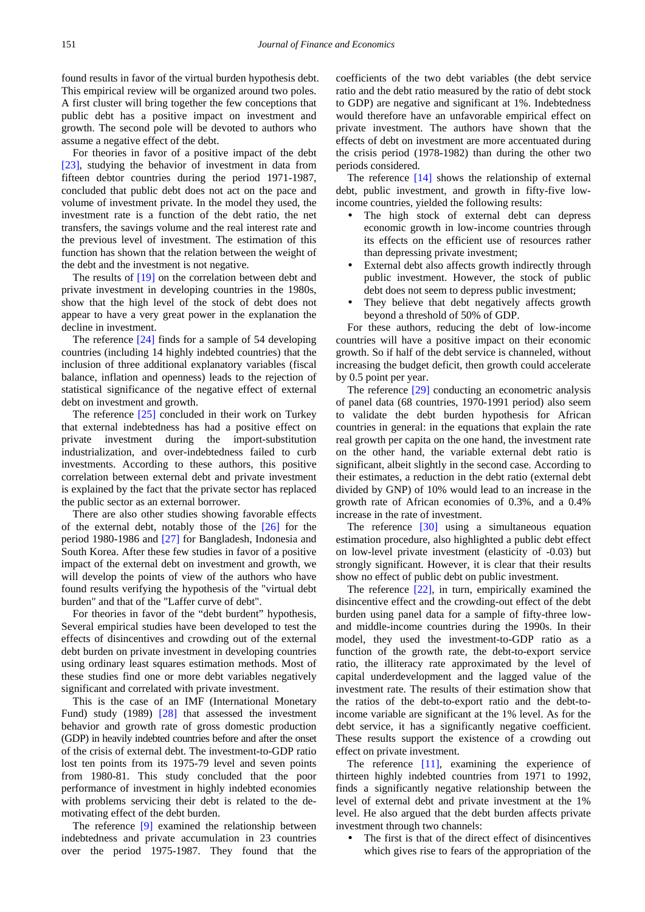found results in favor of the virtual burden hypothesis debt. This empirical review will be organized around two poles. A first cluster will bring together the few conceptions that public debt has a positive impact on investment and growth. The second pole will be devoted to authors who assume a negative effect of the debt.

For theories in favor of a positive impact of the debt [\[23\],](#page-14-19) studying the behavior of investment in data from fifteen debtor countries during the period 1971-1987, concluded that public debt does not act on the pace and volume of investment private. In the model they used, the investment rate is a function of the debt ratio, the net transfers, the savings volume and the real interest rate and the previous level of investment. The estimation of this function has shown that the relation between the weight of the debt and the investment is not negative.

The results of [\[19\]](#page-14-16) on the correlation between debt and private investment in developing countries in the 1980s, show that the high level of the stock of debt does not appear to have a very great power in the explanation the decline in investment.

The reference [\[24\]](#page-14-20) finds for a sample of 54 developing countries (including 14 highly indebted countries) that the inclusion of three additional explanatory variables (fiscal balance, inflation and openness) leads to the rejection of statistical significance of the negative effect of external debt on investment and growth.

The reference [\[25\]](#page-14-21) concluded in their work on Turkey that external indebtedness has had a positive effect on private investment during the import-substitution industrialization, and over-indebtedness failed to curb investments. According to these authors, this positive correlation between external debt and private investment is explained by the fact that the private sector has replaced the public sector as an external borrower.

There are also other studies showing favorable effects of the external debt, notably those of the [\[26\]](#page-14-22) for the period 1980-1986 and [\[27\]](#page-14-23) for Bangladesh, Indonesia and South Korea. After these few studies in favor of a positive impact of the external debt on investment and growth, we will develop the points of view of the authors who have found results verifying the hypothesis of the "virtual debt burden" and that of the "Laffer curve of debt".

For theories in favor of the "debt burdent" hypothesis, Several empirical studies have been developed to test the effects of disincentives and crowding out of the external debt burden on private investment in developing countries using ordinary least squares estimation methods. Most of these studies find one or more debt variables negatively significant and correlated with private investment.

This is the case of an IMF (International Monetary Fund) study (1989) [\[28\]](#page-14-24) that assessed the investment behavior and growth rate of gross domestic production (GDP) in heavily indebted countries before and after the onset of the crisis of external debt. The investment-to-GDP ratio lost ten points from its 1975-79 level and seven points from 1980-81. This study concluded that the poor performance of investment in highly indebted economies with problems servicing their debt is related to the demotivating effect of the debt burden.

The reference [\[9\]](#page-14-8) examined the relationship between indebtedness and private accumulation in 23 countries over the period 1975-1987. They found that the coefficients of the two debt variables (the debt service ratio and the debt ratio measured by the ratio of debt stock to GDP) are negative and significant at 1%. Indebtedness would therefore have an unfavorable empirical effect on private investment. The authors have shown that the effects of debt on investment are more accentuated during the crisis period (1978-1982) than during the other two periods considered.

The reference [\[14\]](#page-14-12) shows the relationship of external debt, public investment, and growth in fifty-five lowincome countries, yielded the following results:

- The high stock of external debt can depress economic growth in low-income countries through its effects on the efficient use of resources rather than depressing private investment;
- External debt also affects growth indirectly through public investment. However, the stock of public debt does not seem to depress public investment;
- They believe that debt negatively affects growth beyond a threshold of 50% of GDP.

For these authors, reducing the debt of low-income countries will have a positive impact on their economic growth. So if half of the debt service is channeled, without increasing the budget deficit, then growth could accelerate by 0.5 point per year.

The reference [\[29\]](#page-14-25) conducting an econometric analysis of panel data (68 countries, 1970-1991 period) also seem to validate the debt burden hypothesis for African countries in general: in the equations that explain the rate real growth per capita on the one hand, the investment rate on the other hand, the variable external debt ratio is significant, albeit slightly in the second case. According to their estimates, a reduction in the debt ratio (external debt divided by GNP) of 10% would lead to an increase in the growth rate of African economies of 0.3%, and a 0.4% increase in the rate of investment.

The reference [\[30\]](#page-14-26) using a simultaneous equation estimation procedure, also highlighted a public debt effect on low-level private investment (elasticity of -0.03) but strongly significant. However, it is clear that their results show no effect of public debt on public investment.

The reference [\[22\],](#page-14-27) in turn, empirically examined the disincentive effect and the crowding-out effect of the debt burden using panel data for a sample of fifty-three lowand middle-income countries during the 1990s. In their model, they used the investment-to-GDP ratio as a function of the growth rate, the debt-to-export service ratio, the illiteracy rate approximated by the level of capital underdevelopment and the lagged value of the investment rate. The results of their estimation show that the ratios of the debt-to-export ratio and the debt-toincome variable are significant at the 1% level. As for the debt service, it has a significantly negative coefficient. These results support the existence of a crowding out effect on private investment.

The reference [\[11\],](#page-14-9) examining the experience of thirteen highly indebted countries from 1971 to 1992, finds a significantly negative relationship between the level of external debt and private investment at the 1% level. He also argued that the debt burden affects private investment through two channels:

 The first is that of the direct effect of disincentives which gives rise to fears of the appropriation of the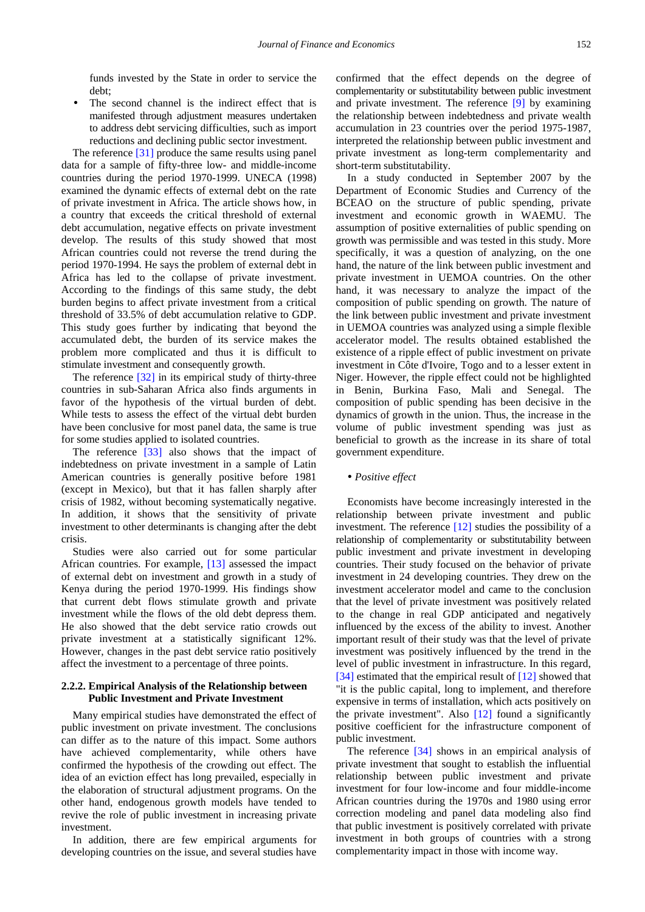funds invested by the State in order to service the debt;

 The second channel is the indirect effect that is manifested through adjustment measures undertaken to address debt servicing difficulties, such as import reductions and declining public sector investment.

The reference [\[31\]](#page-14-28) produce the same results using panel data for a sample of fifty-three low- and middle-income countries during the period 1970-1999. UNECA (1998) examined the dynamic effects of external debt on the rate of private investment in Africa. The article shows how, in a country that exceeds the critical threshold of external debt accumulation, negative effects on private investment develop. The results of this study showed that most African countries could not reverse the trend during the period 1970-1994. He says the problem of external debt in Africa has led to the collapse of private investment. According to the findings of this same study, the debt burden begins to affect private investment from a critical threshold of 33.5% of debt accumulation relative to GDP. This study goes further by indicating that beyond the accumulated debt, the burden of its service makes the problem more complicated and thus it is difficult to stimulate investment and consequently growth.

The reference [\[32\]](#page-14-29) in its empirical study of thirty-three countries in sub-Saharan Africa also finds arguments in favor of the hypothesis of the virtual burden of debt. While tests to assess the effect of the virtual debt burden have been conclusive for most panel data, the same is true for some studies applied to isolated countries.

The reference [\[33\]](#page-14-30) also shows that the impact of indebtedness on private investment in a sample of Latin American countries is generally positive before 1981 (except in Mexico), but that it has fallen sharply after crisis of 1982, without becoming systematically negative. In addition, it shows that the sensitivity of private investment to other determinants is changing after the debt crisis.

Studies were also carried out for some particular African countries. For example, [\[13\]](#page-14-11) assessed the impact of external debt on investment and growth in a study of Kenya during the period 1970-1999. His findings show that current debt flows stimulate growth and private investment while the flows of the old debt depress them. He also showed that the debt service ratio crowds out private investment at a statistically significant 12%. However, changes in the past debt service ratio positively affect the investment to a percentage of three points.

### **2.2.2. Empirical Analysis of the Relationship between Public Investment and Private Investment**

Many empirical studies have demonstrated the effect of public investment on private investment. The conclusions can differ as to the nature of this impact. Some authors have achieved complementarity, while others have confirmed the hypothesis of the crowding out effect. The idea of an eviction effect has long prevailed, especially in the elaboration of structural adjustment programs. On the other hand, endogenous growth models have tended to revive the role of public investment in increasing private investment.

In addition, there are few empirical arguments for developing countries on the issue, and several studies have

confirmed that the effect depends on the degree of complementarity or substitutability between public investment and private investment. The reference [\[9\]](#page-14-8) by examining the relationship between indebtedness and private wealth accumulation in 23 countries over the period 1975-1987, interpreted the relationship between public investment and private investment as long-term complementarity and short-term substitutability.

In a study conducted in September 2007 by the Department of Economic Studies and Currency of the BCEAO on the structure of public spending, private investment and economic growth in WAEMU. The assumption of positive externalities of public spending on growth was permissible and was tested in this study. More specifically, it was a question of analyzing, on the one hand, the nature of the link between public investment and private investment in UEMOA countries. On the other hand, it was necessary to analyze the impact of the composition of public spending on growth. The nature of the link between public investment and private investment in UEMOA countries was analyzed using a simple flexible accelerator model. The results obtained established the existence of a ripple effect of public investment on private investment in Côte d'Ivoire, Togo and to a lesser extent in Niger. However, the ripple effect could not be highlighted in Benin, Burkina Faso, Mali and Senegal. The composition of public spending has been decisive in the dynamics of growth in the union. Thus, the increase in the volume of public investment spending was just as beneficial to growth as the increase in its share of total government expenditure.

#### *Positive effect*

Economists have become increasingly interested in the relationship between private investment and public investment. The reference [\[12\]](#page-14-10) studies the possibility of a relationship of complementarity or substitutability between public investment and private investment in developing countries. Their study focused on the behavior of private investment in 24 developing countries. They drew on the investment accelerator model and came to the conclusion that the level of private investment was positively related to the change in real GDP anticipated and negatively influenced by the excess of the ability to invest. Another important result of their study was that the level of private investment was positively influenced by the trend in the level of public investment in infrastructure. In this regard, [\[34\]](#page-14-31) estimated that the empirical result of [\[12\]](#page-14-10) showed that "it is the public capital, long to implement, and therefore expensive in terms of installation, which acts positively on the private investment". Also [\[12\]](#page-14-10) found a significantly positive coefficient for the infrastructure component of public investment.

The reference [\[34\]](#page-14-31) shows in an empirical analysis of private investment that sought to establish the influential relationship between public investment and private investment for four low-income and four middle-income African countries during the 1970s and 1980 using error correction modeling and panel data modeling also find that public investment is positively correlated with private investment in both groups of countries with a strong complementarity impact in those with income way.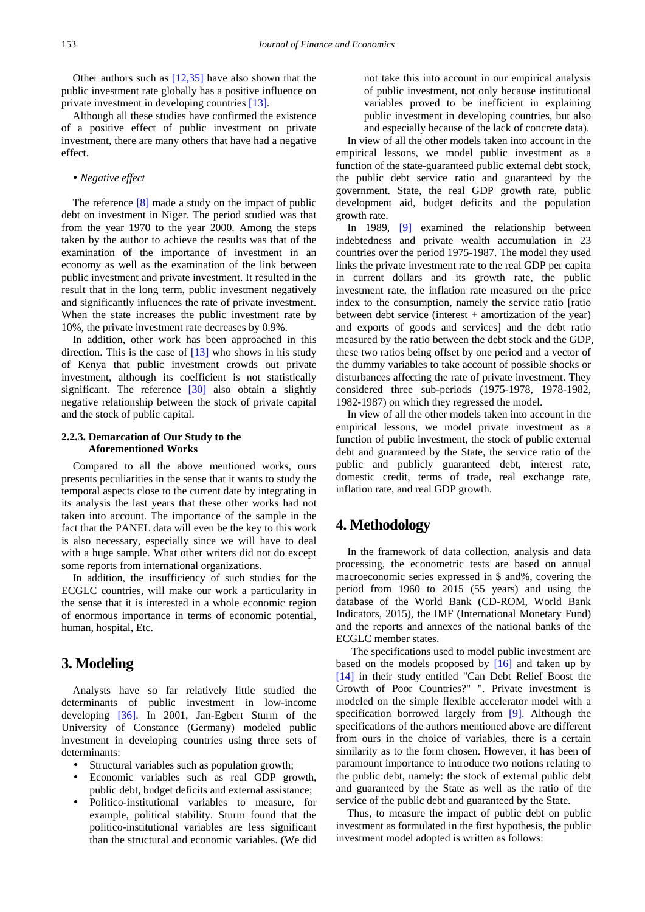Other authors such as [\[12,35\]](#page-14-10) have also shown that the public investment rate globally has a positive influence on private investment in developing countrie[s \[13\].](#page-14-11)

Although all these studies have confirmed the existence of a positive effect of public investment on private investment, there are many others that have had a negative effect.

### *Negative effect*

The reference [\[8\]](#page-14-3) made a study on the impact of public debt on investment in Niger. The period studied was that from the year 1970 to the year 2000. Among the steps taken by the author to achieve the results was that of the examination of the importance of investment in an economy as well as the examination of the link between public investment and private investment. It resulted in the result that in the long term, public investment negatively and significantly influences the rate of private investment. When the state increases the public investment rate by 10%, the private investment rate decreases by 0.9%.

In addition, other work has been approached in this direction. This is the case of [\[13\]](#page-14-11) who shows in his study of Kenya that public investment crowds out private investment, although its coefficient is not statistically significant. The reference [\[30\]](#page-14-26) also obtain a slightly negative relationship between the stock of private capital and the stock of public capital.

### **2.2.3. Demarcation of Our Study to the Aforementioned Works**

Compared to all the above mentioned works, ours presents peculiarities in the sense that it wants to study the temporal aspects close to the current date by integrating in its analysis the last years that these other works had not taken into account. The importance of the sample in the fact that the PANEL data will even be the key to this work is also necessary, especially since we will have to deal with a huge sample. What other writers did not do except some reports from international organizations.

In addition, the insufficiency of such studies for the ECGLC countries, will make our work a particularity in the sense that it is interested in a whole economic region of enormous importance in terms of economic potential, human, hospital, Etc.

# **3. Modeling**

Analysts have so far relatively little studied the determinants of public investment in low-income developing [\[36\].](#page-15-0) In 2001, Jan-Egbert Sturm of the University of Constance (Germany) modeled public investment in developing countries using three sets of determinants:

- Structural variables such as population growth;
- Economic variables such as real GDP growth, public debt, budget deficits and external assistance;
- Politico-institutional variables to measure, for example, political stability. Sturm found that the politico-institutional variables are less significant than the structural and economic variables. (We did

not take this into account in our empirical analysis of public investment, not only because institutional variables proved to be inefficient in explaining public investment in developing countries, but also and especially because of the lack of concrete data).

In view of all the other models taken into account in the empirical lessons, we model public investment as a function of the state-guaranteed public external debt stock, the public debt service ratio and guaranteed by the government. State, the real GDP growth rate, public development aid, budget deficits and the population growth rate.

In 1989, [\[9\]](#page-14-8) examined the relationship between indebtedness and private wealth accumulation in 23 countries over the period 1975-1987. The model they used links the private investment rate to the real GDP per capita in current dollars and its growth rate, the public investment rate, the inflation rate measured on the price index to the consumption, namely the service ratio [ratio between debt service (interest + amortization of the year) and exports of goods and services] and the debt ratio measured by the ratio between the debt stock and the GDP, these two ratios being offset by one period and a vector of the dummy variables to take account of possible shocks or disturbances affecting the rate of private investment. They considered three sub-periods (1975-1978, 1978-1982, 1982-1987) on which they regressed the model.

In view of all the other models taken into account in the empirical lessons, we model private investment as a function of public investment, the stock of public external debt and guaranteed by the State, the service ratio of the public and publicly guaranteed debt, interest rate, domestic credit, terms of trade, real exchange rate, inflation rate, and real GDP growth.

# **4. Methodology**

In the framework of data collection, analysis and data processing, the econometric tests are based on annual macroeconomic series expressed in \$ and%, covering the period from 1960 to 2015 (55 years) and using the database of the World Bank (CD-ROM, World Bank Indicators, 2015), the IMF (International Monetary Fund) and the reports and annexes of the national banks of the ECGLC member states.

The specifications used to model public investment are based on the models proposed by  $[16]$  and taken up by [\[14\]](#page-14-12) in their study entitled "Can Debt Relief Boost the Growth of Poor Countries?" ". Private investment is modeled on the simple flexible accelerator model with a specification borrowed largely from [\[9\].](#page-14-8) Although the specifications of the authors mentioned above are different from ours in the choice of variables, there is a certain similarity as to the form chosen. However, it has been of paramount importance to introduce two notions relating to the public debt, namely: the stock of external public debt and guaranteed by the State as well as the ratio of the service of the public debt and guaranteed by the State.

Thus, to measure the impact of public debt on public investment as formulated in the first hypothesis, the public investment model adopted is written as follows: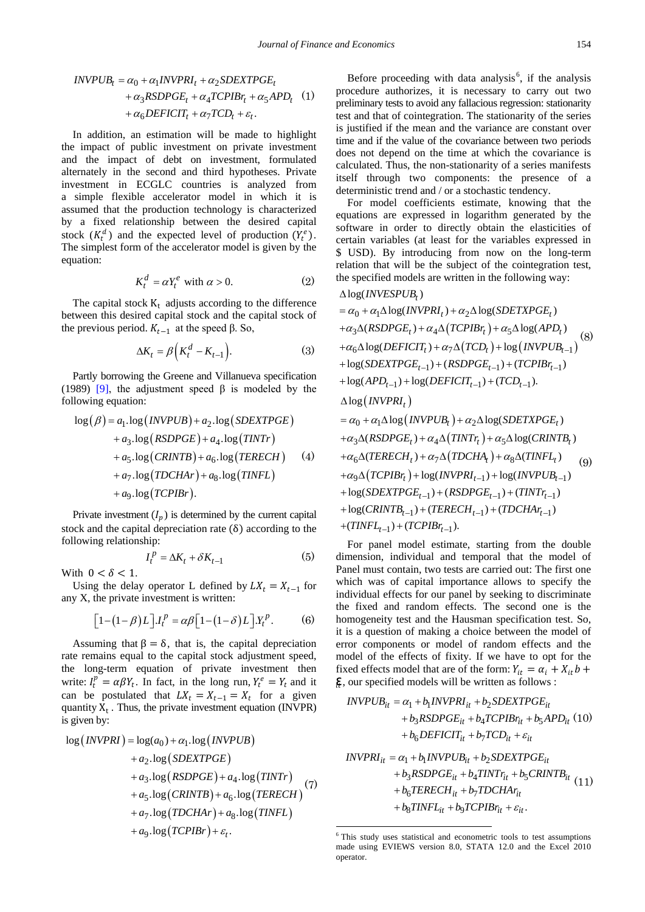$$
INVPUB_t = \alpha_0 + \alpha_1 INVPRI_t + \alpha_2 SDEXTPGE_t
$$
  
+  $\alpha_3 RSDPGE_t + \alpha_4 TCPIBr_t + \alpha_5 APD_t$  (1)  
+  $\alpha_6 DEFICIT_t + \alpha_7 TCP_t + \varepsilon_t$ .

In addition, an estimation will be made to highlight the impact of public investment on private investment and the impact of debt on investment, formulated alternately in the second and third hypotheses. Private investment in ECGLC countries is analyzed from a simple flexible accelerator model in which it is assumed that the production technology is characterized by a fixed relationship between the desired capital stock  $(K_t^a)$  and the expected level of production  $(Y_t^e)$ . The simplest form of the accelerator model is given by the equation:

$$
K_t^d = \alpha Y_t^e \text{ with } \alpha > 0. \tag{2}
$$

The capital stock  $K_t$  adjusts according to the difference between this desired capital stock and the capital stock of the previous period.  $K_{t-1}$  at the speed β. So,

$$
\Delta K_t = \beta \Big( K_t^d - K_{t-1} \Big). \tag{3}
$$

Partly borrowing the Greene and Villanueva specification (1989) [\[9\]](#page-14-8), the adjustment speed  $\beta$  is modeled by the following equation:

$$
log(\beta) = a_1 \cdot log(INVPUB) + a_2 \cdot log(SDEXTPGE)
$$
  
+ a\_3 \cdot log(RSDPGE) + a\_4 \cdot log(TINTr)  
+ a\_5 \cdot log(CRINTB) + a\_6 \cdot log(TERECH) (4)  
+ a\_7 \cdot log(TDCHAr) + a\_8 \cdot log(TINFL)  
+ a\_9 \cdot log(TCPIBr).

Private investment  $(I_n)$  is determined by the current capital stock and the capital depreciation rate  $(\delta)$  according to the following relationship:

$$
I_t^P = \Delta K_t + \delta K_{t-1} \tag{5}
$$

With  $0 < \delta < 1$ .

Using the delay operator L defined by  $LX_t = X_{t-1}$  for any X, the private investment is written:

$$
\left[1 - (1 - \beta)L\right]J_t^p = \alpha\beta\left[1 - (1 - \delta)L\right]J_t^p. \tag{6}
$$

Assuming that  $\beta = \delta$ , that is, the capital depreciation rate remains equal to the capital stock adjustment speed, the long-term equation of private investment then write:  $I_t^p = \alpha \beta Y_t$ . In fact, in the long run,  $Y_t^e = Y_t$  and it can be postulated that  $LX_t = X_{t-1} = X_t$  for a given quantity  $X_t$ . Thus, the private investment equation (INVPR) is given by:

<span id="page-6-0"></span>
$$
log (INVPRI) = log(a_0) + \alpha_1 log (INVPUB)
$$
  
+  $a_2 log (SDEXTPGE)$   
+  $a_3 log (RSDPGE) + a_4 log (TINTr)$   
+  $a_5 log (CRINTB) + a_6 log (TERECH)$   
+  $a_7 log (TDCHAr) + a_8 log (TINFL)$   
+  $a_9 log (TCPIBr) + \varepsilon_t$ .

Before proceeding with data analysis<sup>[6](#page-6-0)</sup>, if the analysis procedure authorizes, it is necessary to carry out two preliminary tests to avoid any fallacious regression: stationarity test and that of cointegration. The stationarity of the series is justified if the mean and the variance are constant over time and if the value of the covariance between two periods does not depend on the time at which the covariance is calculated. Thus, the non-stationarity of a series manifests itself through two components: the presence of a deterministic trend and / or a stochastic tendency.

For model coefficients estimate, knowing that the equations are expressed in logarithm generated by the software in order to directly obtain the elasticities of certain variables (at least for the variables expressed in \$ USD). By introducing from now on the long-term relation that will be the subject of the cointegration test, the specified models are written in the following way:

$$
\Delta \log (INVESPUB_t)
$$

$$
= \alpha_0 + \alpha_1 \Delta \log(INVPRI_t) + \alpha_2 \Delta \log(SDETXPGE_t)
$$
  
\n
$$
+ \alpha_3 \Delta (RSDPGE_t) + \alpha_4 \Delta (TCPIBr_t) + \alpha_5 \Delta \log(APD_t)
$$
  
\n
$$
+ \alpha_6 \Delta \log(DEFICIT_t) + \alpha_7 \Delta (TCP_t) + \log (INVPUB_{t-1})
$$
  
\n
$$
+ \log(SDEXTPGE_{t-1}) + (RSDPGE_{t-1}) + (TCPIBr_{t-1})
$$
  
\n
$$
+ \log(APD_{t-1}) + \log(DEFICIT_{t-1}) + (TCPB_{t-1}).
$$
  
\n
$$
\Delta \log (INVPRI_t)
$$
  
\n
$$
= \alpha_0 + \alpha_1 \Delta \log (INVPUB_t) + \alpha_2 \Delta \log(SDETXPGE_t)
$$
  
\n
$$
+ \alpha_3 \Delta (RSDPGE_t) + \alpha_4 \Delta (TINTr_t) + \alpha_5 \Delta \log(CRINTB_t)
$$
  
\n
$$
+ \alpha_6 \Delta (TERECH_t) + \alpha_7 \Delta (TOCHA_t) + \alpha_8 \Delta (TINFL_t)
$$
  
\n
$$
+ \alpha_9 \Delta (TCPIBr_t) + \log(INVPRI_{t-1}) + \log(INVPUB_{t-1})
$$
  
\n
$$
+ \log(SDEXTPGE_{t-1}) + (RSDPGE_{t-1}) + (TINTr_{t-1})
$$
  
\n
$$
+ \log(CRINTB_{t-1}) + (TERECH_{t-1}) + (TDCHAr_{t-1})
$$
  
\n+ (TINFL\_{t-1}) + (TCPIBr\_{t-1}).

For panel model estimate, starting from the double dimension, individual and temporal that the model of Panel must contain, two tests are carried out: The first one which was of capital importance allows to specify the individual effects for our panel by seeking to discriminate the fixed and random effects. The second one is the homogeneity test and the Hausman specification test. So, it is a question of making a choice between the model of error components or model of random effects and the model of the effects of fixity. If we have to opt for the fixed effects model that are of the form:  $Y_{it} = \alpha_i + X_{it} b +$ **Ɛ** , our specified models will be written as follows :

$$
INVPUB_{it} = \alpha_1 + b_1 INVPRI_{it} + b_2 SDEXTPGE_{it}
$$
  
+  $b_3 RSDPGE_{it} + b_4 TCPIBr_{it} + b_5 APD_{it}$  (10)  
+  $b_6 DEFICIT_{it} + b_7 TCP_{it} + \varepsilon_{it}$   

$$
INVPRI_{it} = \alpha_1 + b_1 INVPUB_{it} + b_2 SDEXTPGE_{it}
$$
  
+  $b_3 RSDPGE_{it} + b_4 TINTr_{it} + b_5 CRINTB_{it}$  (11)  
+  $b_6 TERECH_{it} + b_7 TDCHAr_{it}$   
+  $b_8 TINFL_{it} + b_9 TCPIBr_{it} + \varepsilon_{it}$ .

<u>.</u>

<sup>6</sup> This study uses statistical and econometric tools to test assumptions made using EVIEWS version 8.0, STATA 12.0 and the Excel 2010 operator.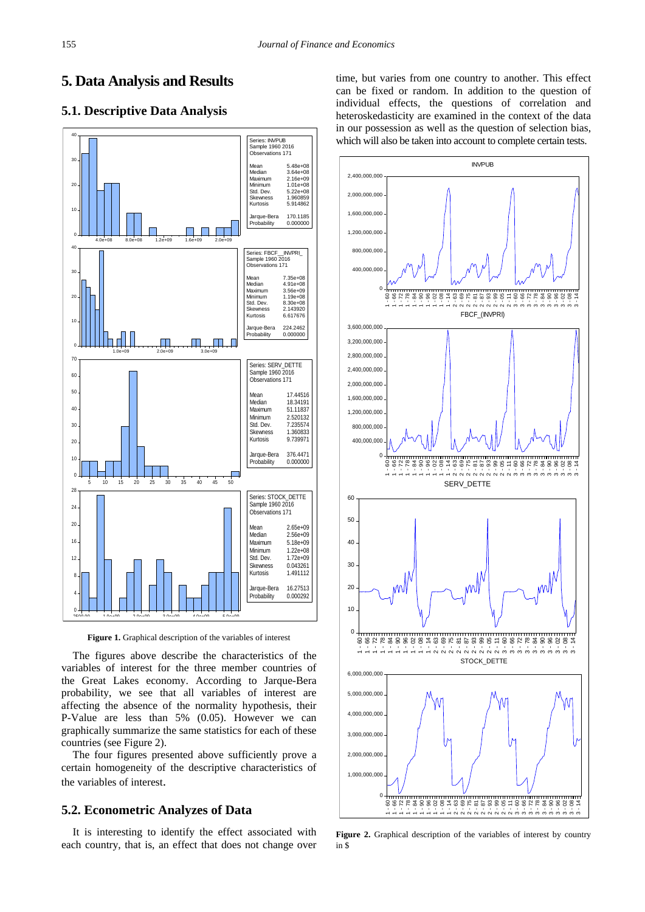# **5. Data Analysis and Results**

### **5.1. Descriptive Data Analysis**



**Figure 1.** Graphical description of the variables of interest

The figures above describe the characteristics of the variables of interest for the three member countries of the Great Lakes economy. According to Jarque-Bera probability, we see that all variables of interest are affecting the absence of the normality hypothesis, their P-Value are less than 5% (0.05). However we can graphically summarize the same statistics for each of these countries (see Figure 2).

The four figures presented above sufficiently prove a certain homogeneity of the descriptive characteristics of the variables of interest.

### **5.2. Econometric Analyzes of Data**

It is interesting to identify the effect associated with each country, that is, an effect that does not change over time, but varies from one country to another. This effect can be fixed or random. In addition to the question of individual effects, the questions of correlation and heteroskedasticity are examined in the context of the data in our possession as well as the question of selection bias, which will also be taken into account to complete certain tests.



**Figure 2.** Graphical description of the variables of interest by country in \$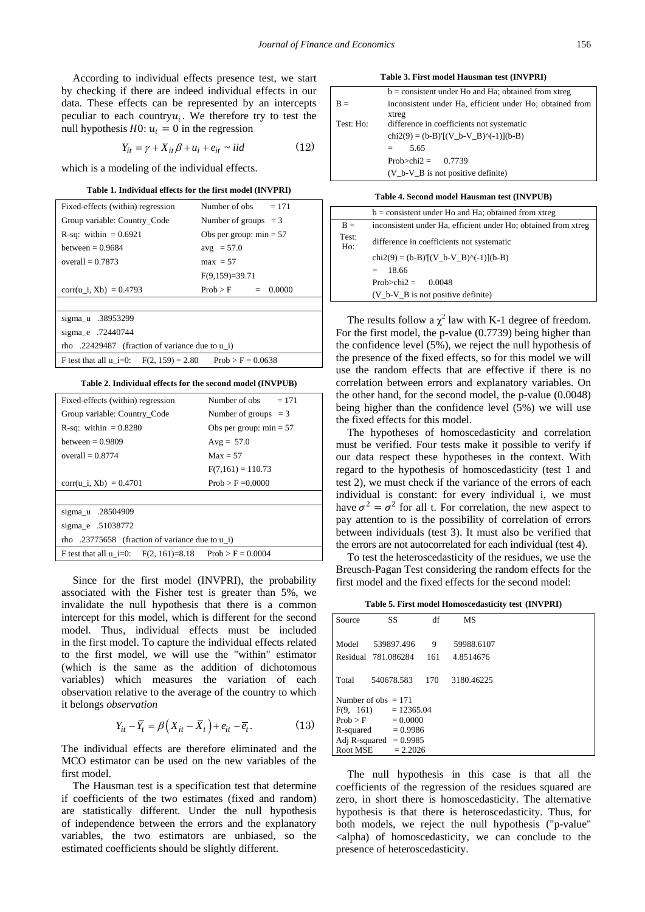According to individual effects presence test, we start by checking if there are indeed individual effects in our data. These effects can be represented by an intercepts peculiar to each country  $u_i$ . We therefore try to test the null hypothesis  $H0: u_i = 0$  in the regression

$$
Y_{it} = \gamma + X_{it}\beta + u_i + e_{it} \sim iid \tag{12}
$$

which is a modeling of the individual effects.

|  |  | Table 1. Individual effects for the first model (INVPRI) |
|--|--|----------------------------------------------------------|
|--|--|----------------------------------------------------------|

| Fixed-effects (within) regression               | Number of obs $= 171$     |  |  |  |  |
|-------------------------------------------------|---------------------------|--|--|--|--|
| Group variable: Country Code                    | Number of groups $=$ 3    |  |  |  |  |
| R-sq: within $= 0.6921$                         | Obs per group: $min = 57$ |  |  |  |  |
| between $= 0.9684$                              | $avg = 57.0$              |  |  |  |  |
| overall $= 0.7873$                              | $max = 57$                |  |  |  |  |
|                                                 | $F(9,159)=39.71$          |  |  |  |  |
| corr(u i, Xb) = $0.4793$                        | $Prob > F = 0.0000$       |  |  |  |  |
|                                                 |                           |  |  |  |  |
| sigma_u .38953299                               |                           |  |  |  |  |
| sigma_e .72440744                               |                           |  |  |  |  |
| rho .22429487 (fraction of variance due to u i) |                           |  |  |  |  |

**Table 2. Individual effects for the second model (INVPUB)**

F test that all  $u_i=0$ :  $F(2, 159) = 2.80$  Prob > F = 0.0638

| Number of obs $= 171$                                           |  |  |  |  |
|-----------------------------------------------------------------|--|--|--|--|
| Number of groups $=$ 3                                          |  |  |  |  |
| Obs per group: $min = 57$                                       |  |  |  |  |
| $Avg = 57.0$                                                    |  |  |  |  |
| $Max = 57$                                                      |  |  |  |  |
| $F(7,161) = 110.73$                                             |  |  |  |  |
| $Prob > F = 0.0000$                                             |  |  |  |  |
|                                                                 |  |  |  |  |
|                                                                 |  |  |  |  |
|                                                                 |  |  |  |  |
| rho .23775658 (fraction of variance due to u i)                 |  |  |  |  |
| $Prob > F = 0.0004$<br>F test that all $u = 0$ : F(2, 161)=8.18 |  |  |  |  |
|                                                                 |  |  |  |  |

Since for the first model (INVPRI), the probability associated with the Fisher test is greater than 5%, we invalidate the null hypothesis that there is a common intercept for this model, which is different for the second model. Thus, individual effects must be included in the first model. To capture the individual effects related to the first model, we will use the "within" estimator (which is the same as the addition of dichotomous variables) which measures the variation of each observation relative to the average of the country to which it belongs *observation* 

$$
Y_{it} - \overline{Y}_t = \beta \left( X_{it} - \overline{X}_t \right) + e_{it} - \overline{e}_t. \tag{13}
$$

The individual effects are therefore eliminated and the MCO estimator can be used on the new variables of the first model.

The Hausman test is a specification test that determine if coefficients of the two estimates (fixed and random) are statistically different. Under the null hypothesis of independence between the errors and the explanatory variables, the two estimators are unbiased, so the estimated coefficients should be slightly different.

**Table 3. First model Hausman test (INVPRI)**

|           | $b =$ consistent under Ho and Ha; obtained from xtreg    |
|-----------|----------------------------------------------------------|
| $B =$     | inconsistent under Ha, efficient under Ho; obtained from |
|           | xtreg                                                    |
| Test: Ho: | difference in coefficients not systematic                |
|           | $chi2(9) = (b-B)'[(V_b-V_B)^(-1)](b-B)$                  |
|           | 5.65<br>$=$                                              |
|           | Prob>chi2 = $0.7739$                                     |
|           | $(V_b-V_B)$ is not positive definite)                    |
|           |                                                          |

#### **Table 4. Second model Hausman test (INVPUB)**

|              | $b =$ consistent under Ho and Ha; obtained from xtreg          |
|--------------|----------------------------------------------------------------|
| $B =$        | inconsistent under Ha, efficient under Ho; obtained from xtreg |
| Test:<br>Ho: | difference in coefficients not systematic                      |
|              | $chi2(9) = (b-B)'[(V_b-V_B)^(-1)](b-B)$                        |
|              | 18.66<br>$=$                                                   |
|              | $Prob > chi2 =$<br>0.0048                                      |
|              | $(V_b-V_B)$ is not positive definite)                          |
|              |                                                                |

The results follow a  $\chi^2$  law with K-1 degree of freedom. For the first model, the p-value (0.7739) being higher than the confidence level (5%), we reject the null hypothesis of the presence of the fixed effects, so for this model we will use the random effects that are effective if there is no correlation between errors and explanatory variables. On the other hand, for the second model, the p-value (0.0048) being higher than the confidence level (5%) we will use the fixed effects for this model.

The hypotheses of homoscedasticity and correlation must be verified. Four tests make it possible to verify if our data respect these hypotheses in the context. With regard to the hypothesis of homoscedasticity (test 1 and test 2), we must check if the variance of the errors of each individual is constant: for every individual i, we must have  $\sigma^2 = \sigma^2$  for all t. For correlation, the new aspect to pay attention to is the possibility of correlation of errors between individuals (test 3). It must also be verified that the errors are not autocorrelated for each individual (test 4).

To test the heteroscedasticity of the residues, we use the Breusch-Pagan Test considering the random effects for the first model and the fixed effects for the second model:

**Table 5. First model Homoscedasticity test (INVPRI)**

| Source   | SS                                              | df  | MS         |  |
|----------|-------------------------------------------------|-----|------------|--|
| Model    | 539897.496                                      | 9   | 59988.6107 |  |
|          | Residual 781.086284                             | 161 | 4.8514676  |  |
| Total    | 540678.583                                      | 170 | 3180.46225 |  |
|          | Number of $obs = 171$<br>$F(9, 161) = 12365.04$ |     |            |  |
|          | $Prob > F = 0.0000$                             |     |            |  |
|          | $R$ -squared $= 0.9986$                         |     |            |  |
|          | Adj R-squared $= 0.9985$                        |     |            |  |
| Root MSE | $= 2.2026$                                      |     |            |  |

The null hypothesis in this case is that all the coefficients of the regression of the residues squared are zero, in short there is homoscedasticity. The alternative hypothesis is that there is heteroscedasticity. Thus, for both models, we reject the null hypothesis ("p-value" <alpha) of homoscedasticity, we can conclude to the presence of heteroscedasticity.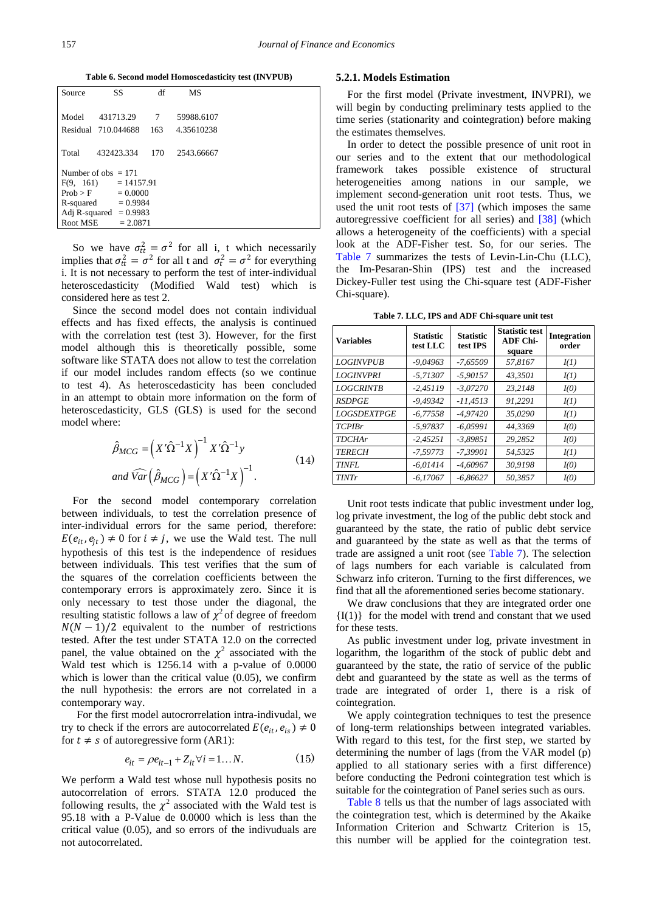**Table 6. Second model Homoscedasticity test (INVPUB)**

| Source   | SS                       | df  | <b>MS</b>  |
|----------|--------------------------|-----|------------|
|          |                          |     |            |
| Model    | 431713.29                | 7   | 59988.6107 |
|          | Residual 710.044688      | 163 | 4.35610238 |
|          |                          |     |            |
| Total    | 432423.334               | 170 | 2543.66667 |
|          | Number of obs $= 171$    |     |            |
|          | $F(9, 161) = 14157.91$   |     |            |
| Prob > F | $= 0.0000$               |     |            |
|          | $R$ -squared $= 0.9984$  |     |            |
|          | Adj R-squared $= 0.9983$ |     |            |
| Root MSE | $= 2.0871$               |     |            |

So we have  $\sigma_{tt}^2 = \sigma^2$  for all i, t which necessarily implies that  $\sigma_{tt}^2 = \sigma^2$  for all t and  $\sigma_t^2 = \sigma^2$  for everything i. It is not necessary to perform the test of inter-individual heteroscedasticity (Modified Wald test) which is considered here as test 2.

Since the second model does not contain individual effects and has fixed effects, the analysis is continued with the correlation test (test 3). However, for the first model although this is theoretically possible, some software like STATA does not allow to test the correlation if our model includes random effects (so we continue to test 4). As heteroscedasticity has been concluded in an attempt to obtain more information on the form of heteroscedasticity, GLS (GLS) is used for the second model where:

$$
\hat{\beta}_{MCG} = \left(X'\hat{\Omega}^{-1}X\right)^{-1}X'\hat{\Omega}^{-1}y
$$
\n
$$
and \ \widehat{Var}\left(\hat{\beta}_{MCG}\right) = \left(X'\hat{\Omega}^{-1}X\right)^{-1}.
$$
\n(14)

For the second model contemporary correlation between individuals, to test the correlation presence of inter-individual errors for the same period, therefore:  $E(e_{it}, e_{it}) \neq 0$  for  $i \neq j$ , we use the Wald test. The null hypothesis of this test is the independence of residues between individuals. This test verifies that the sum of the squares of the correlation coefficients between the contemporary errors is approximately zero. Since it is only necessary to test those under the diagonal, the resulting statistic follows a law of  $\chi^2$  of degree of freedom  $N(N - 1)/2$  equivalent to the number of restrictions tested. After the test under STATA 12.0 on the corrected panel, the value obtained on the  $\chi^2$  associated with the Wald test which is 1256.14 with a p-value of 0.0000 which is lower than the critical value (0.05), we confirm the null hypothesis: the errors are not correlated in a contemporary way.

For the first model autocrorrelation intra-indivudal, we try to check if the errors are autocorrelated  $E(e_{it}, e_{is}) \neq 0$ for  $t \neq s$  of autoregressive form (AR1):

$$
e_{it} = \rho e_{it-1} + Z_{it} \forall i = 1...N.
$$
 (15)

We perform a Wald test whose null hypothesis posits no autocorrelation of errors. STATA 12.0 produced the following results, the  $\chi^2$  associated with the Wald test is 95.18 with a P-Value de 0.0000 which is less than the critical value (0.05), and so errors of the indivuduals are not autocorrelated.

#### **5.2.1. Models Estimation**

For the first model (Private investment, INVPRI), we will begin by conducting preliminary tests applied to the time series (stationarity and cointegration) before making the estimates themselves.

In order to detect the possible presence of unit root in our series and to the extent that our methodological framework takes possible existence of structural heterogeneities among nations in our sample, we implement second-generation unit root tests. Thus, we used the unit root tests of [\[37\]](#page-15-1) (which imposes the same autoregressive coefficient for all series) and [\[38\]](#page-15-2) (which allows a heterogeneity of the coefficients) with a special look at the ADF-Fisher test. So, for our series. The [Table 7](#page-9-0) summarizes the tests of Levin-Lin-Chu (LLC), the Im-Pesaran-Shin (IPS) test and the increased Dickey-Fuller test using the Chi-square test (ADF-Fisher Chi-square).

**Table 7. LLC, IPS and ADF Chi-square unit test**

<span id="page-9-0"></span>

| <b>Variables</b>          | <b>Statistic</b><br>test LLC | <b>Statistic</b><br>test IPS | <b>Statistic test</b><br><b>ADF Chi-</b><br>square | <b>Integration</b><br>order |
|---------------------------|------------------------------|------------------------------|----------------------------------------------------|-----------------------------|
| <b>LOGINVPUB</b>          | $-9.04963$                   | $-7.65509$                   | 57,8167                                            | I(1)                        |
| <b>LOGINVPRI</b>          | $-5,71307$                   | $-5.90157$                   | 43.3501                                            | I(1)                        |
| <b>LOGCRINTB</b>          | $-2.45119$                   | $-3,07270$                   | 23.2148                                            | I(0)                        |
| <b>RSDPGE</b>             | $-9.49342$                   | $-11.4513$                   | 91.2291                                            | I(1)                        |
| <i><b>LOGSDEXTPGE</b></i> | $-6,77558$                   | $-4.97420$                   | 35.0290                                            | I(1)                        |
| <b>TCPIBr</b>             | $-5.97837$                   | $-6.05991$                   | 44.3369                                            | I(0)                        |
| <b>TDCHAr</b>             | $-2.45251$                   | $-3.89851$                   | 29.2852                                            | I(0)                        |
| <b>TERECH</b>             | $-7,59773$                   | $-7,39901$                   | 54,5325                                            | I(1)                        |
| <b>TINFL</b>              | $-6,01414$                   | $-4.60967$                   | 30.9198                                            | I(0)                        |
| <b>TINTr</b>              | $-6,17067$                   | $-6,86627$                   | 50,3857                                            | I(0)                        |

Unit root tests indicate that public investment under log, log private investment, the log of the public debt stock and guaranteed by the state, the ratio of public debt service and guaranteed by the state as well as that the terms of trade are assigned a unit root (see [Table 7\)](#page-9-0). The selection of lags numbers for each variable is calculated from Schwarz info criteron. Turning to the first differences, we find that all the aforementioned series become stationary.

We draw conclusions that they are integrated order one  ${I(1)}$  for the model with trend and constant that we used for these tests.

As public investment under log, private investment in logarithm, the logarithm of the stock of public debt and guaranteed by the state, the ratio of service of the public debt and guaranteed by the state as well as the terms of trade are integrated of order 1, there is a risk of cointegration.

We apply cointegration techniques to test the presence of long-term relationships between integrated variables. With regard to this test, for the first step, we started by determining the number of lags (from the VAR model (p) applied to all stationary series with a first difference) before conducting the Pedroni cointegration test which is suitable for the cointegration of Panel series such as ours.

[Table 8](#page-10-0) tells us that the number of lags associated with the cointegration test, which is determined by the Akaike Information Criterion and Schwartz Criterion is 15, this number will be applied for the cointegration test.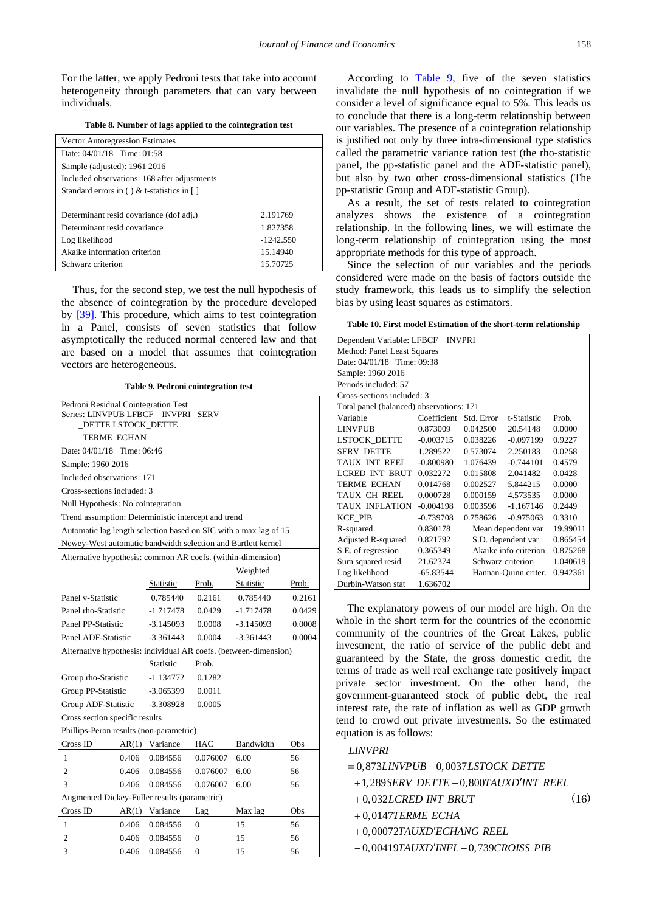For the latter, we apply Pedroni tests that take into account heterogeneity through parameters that can vary between individuals.

**Table 8. Number of lags applied to the cointegration test**

<span id="page-10-0"></span>

| <b>Vector Autoregression Estimates</b>       |             |
|----------------------------------------------|-------------|
| Date: 04/01/18 Time: 01:58                   |             |
| Sample (adjusted): 1961 2016                 |             |
| Included observations: 168 after adjustments |             |
| Standard errors in () & t-statistics in []   |             |
|                                              |             |
| Determinant resid covariance (dof adj.)      | 2.191769    |
| Determinant resid covariance                 | 1.827358    |
| Log likelihood                               | $-1242.550$ |
| Akaike information criterion                 | 15.14940    |
| Schwarz criterion                            | 15.70725    |

Thus, for the second step, we test the null hypothesis of the absence of cointegration by the procedure developed by [\[39\].](#page-15-3) This procedure, which aims to test cointegration in a Panel, consists of seven statistics that follow asymptotically the reduced normal centered law and that are based on a model that assumes that cointegration vectors are heterogeneous.

**Table 9. Pedroni cointegration test**

<span id="page-10-1"></span>

| Pedroni Residual Cointegration Test<br>Series: LINVPUB LFBCF INVPRI SERV<br>_DETTE LSTOCK_DETTE |       |                |          |             |        |  |
|-------------------------------------------------------------------------------------------------|-------|----------------|----------|-------------|--------|--|
| <b>TERME ECHAN</b>                                                                              |       |                |          |             |        |  |
| Date: 04/01/18 Time: 06:46                                                                      |       |                |          |             |        |  |
| Sample: 1960 2016                                                                               |       |                |          |             |        |  |
| Included observations: 171                                                                      |       |                |          |             |        |  |
| Cross-sections included: 3                                                                      |       |                |          |             |        |  |
| Null Hypothesis: No cointegration                                                               |       |                |          |             |        |  |
| Trend assumption: Deterministic intercept and trend                                             |       |                |          |             |        |  |
| Automatic lag length selection based on SIC with a max lag of 15                                |       |                |          |             |        |  |
| Newey-West automatic bandwidth selection and Bartlett kernel                                    |       |                |          |             |        |  |
| Alternative hypothesis: common AR coefs. (within-dimension)                                     |       |                |          |             |        |  |
|                                                                                                 |       |                |          | Weighted    |        |  |
|                                                                                                 |       | Statistic      | Prob.    | Statistic   | Prob.  |  |
| Panel v-Statistic                                                                               |       | 0.785440       | 0.2161   | 0.785440    | 0.2161 |  |
| Panel rho-Statistic                                                                             |       | -1.717478      | 0.0429   | -1.717478   | 0.0429 |  |
| Panel PP-Statistic                                                                              |       | $-3.145093$    | 0.0008   | $-3.145093$ | 0.0008 |  |
| Panel ADF-Statistic                                                                             |       | $-3.361443$    | 0.0004   | $-3.361443$ | 0.0004 |  |
| Alternative hypothesis: individual AR coefs. (between-dimension)                                |       |                |          |             |        |  |
|                                                                                                 |       | Statistic      | Prob.    |             |        |  |
| Group rho-Statistic                                                                             |       | $-1.134772$    | 0.1282   |             |        |  |
| Group PP-Statistic                                                                              |       | $-3.065399$    | 0.0011   |             |        |  |
| Group ADF-Statistic                                                                             |       | $-3.308928$    | 0.0005   |             |        |  |
| Cross section specific results                                                                  |       |                |          |             |        |  |
| Phillips-Peron results (non-parametric)                                                         |       |                |          |             |        |  |
| Cross ID                                                                                        | AR(1) | Variance       | HAC      | Bandwidth   | Obs    |  |
| $\mathbf{1}$                                                                                    | 0.406 | 0.084556       | 0.076007 | 6.00        | 56     |  |
| $\overline{2}$                                                                                  | 0.406 | 0.084556       | 0.076007 | 6.00        | 56     |  |
| 3                                                                                               | 0.406 |                | 0.076007 | 6.00        | 56     |  |
| Augmented Dickey-Fuller results (parametric)                                                    |       |                |          |             |        |  |
| Cross ID                                                                                        |       | AR(1) Variance | Lag      | Max lag     | Obs    |  |
| 1                                                                                               | 0.406 | 0.084556       | $\Omega$ | 15          | 56     |  |
| $\overline{c}$                                                                                  | 0.406 | 0.084556       | 0        | 15          | 56     |  |
| 3                                                                                               | 0.406 | 0.084556       | 0        | 15          | 56     |  |

According to [Table 9,](#page-10-1) five of the seven statistics invalidate the null hypothesis of no cointegration if we consider a level of significance equal to 5%. This leads us to conclude that there is a long-term relationship between our variables. The presence of a cointegration relationship is justified not only by three intra-dimensional type statistics called the parametric variance ration test (the rho-statistic panel, the pp-statistic panel and the ADF-statistic panel), but also by two other cross-dimensional statistics (The pp-statistic Group and ADF-statistic Group).

As a result, the set of tests related to cointegration analyzes shows the existence of a cointegration relationship. In the following lines, we will estimate the long-term relationship of cointegration using the most appropriate methods for this type of approach.

Since the selection of our variables and the periods considered were made on the basis of factors outside the study framework, this leads us to simplify the selection bias by using least squares as estimators.

| Table 10. First model Estimation of the short-term relationship |  |  |
|-----------------------------------------------------------------|--|--|
|-----------------------------------------------------------------|--|--|

| Dependent Variable: LFBCF_INVPRI_                       |                                               |            |                      |          |  |  |
|---------------------------------------------------------|-----------------------------------------------|------------|----------------------|----------|--|--|
| Method: Panel Least Squares                             |                                               |            |                      |          |  |  |
| Date: 04/01/18 Time: 09:38                              |                                               |            |                      |          |  |  |
| Sample: 1960 2016                                       |                                               |            |                      |          |  |  |
| Periods included: 57                                    |                                               |            |                      |          |  |  |
| Cross-sections included: 3                              |                                               |            |                      |          |  |  |
| Total panel (balanced) observations: 171                |                                               |            |                      |          |  |  |
| Variable                                                | Coefficient                                   | Std. Error | t-Statistic          | Prob.    |  |  |
| <b>LINVPUB</b>                                          | 0.873009                                      | 0.042500   | 20.54148             | 0.0000   |  |  |
| LSTOCK_DETTE                                            | $-0.003715$                                   | 0.038226   | $-0.097199$          | 0.9227   |  |  |
| SERV_DETTE                                              | 1.289522                                      | 0.573074   | 2.250183             | 0.0258   |  |  |
| TAUX INT REEL                                           | $-0.800980$                                   | 1.076439   | $-0.744101$          | 0.4579   |  |  |
| LCRED INT BRUT                                          | 0.032272                                      | 0.015808   | 2.041482             | 0.0428   |  |  |
| <b>TERME ECHAN</b>                                      | 0.014768                                      | 0.002527   | 5.844215             | 0.0000   |  |  |
| TAUX_CH_REEL                                            | 0.000728                                      | 0.000159   | 4.573535             | 0.0000   |  |  |
| TAUX INFLATION                                          | $-0.004198$                                   | 0.003596   | $-1.167146$          | 0.2449   |  |  |
| <b>KCE PIB</b>                                          | $-0.739708$                                   | 0.758626   | $-0.975063$          | 0.3310   |  |  |
| 0.830178<br>R-squared<br>Mean dependent var<br>19.99011 |                                               |            |                      |          |  |  |
| Adjusted R-squared                                      | 0.821792<br>0.865454<br>S.D. dependent var    |            |                      |          |  |  |
| S.E. of regression                                      | Akaike info criterion<br>0.365349<br>0.875268 |            |                      |          |  |  |
| Sum squared resid                                       | 21.62374<br>1.040619<br>Schwarz criterion     |            |                      |          |  |  |
| Log likelihood                                          | $-65.83544$                                   |            | Hannan-Quinn criter. | 0.942361 |  |  |
| 1.636702<br>Durbin-Watson stat                          |                                               |            |                      |          |  |  |

The explanatory powers of our model are high. On the whole in the short term for the countries of the economic community of the countries of the Great Lakes, public investment, the ratio of service of the public debt and guaranteed by the State, the gross domestic credit, the terms of trade as well real exchange rate positively impact private sector investment. On the other hand, the government-guaranteed stock of public debt, the real interest rate, the rate of inflation as well as GDP growth tend to crowd out private investments. So the estimated equation is as follows:

### *LINVPRI*

 $= 0,873 LINVPUB - 0,0037 LSTOCK DETTE$ 

+1,289SERV DETTE - 0,800TAUXD'INT REEL

0,032 *LCRED INT BRUT* +

(16)

+0,0147TERME ECHA

+0,00072TAUXD'ECHANG REEL

 $-0,00419 TAUX D'INFL - 0,739 CROISS$  PIB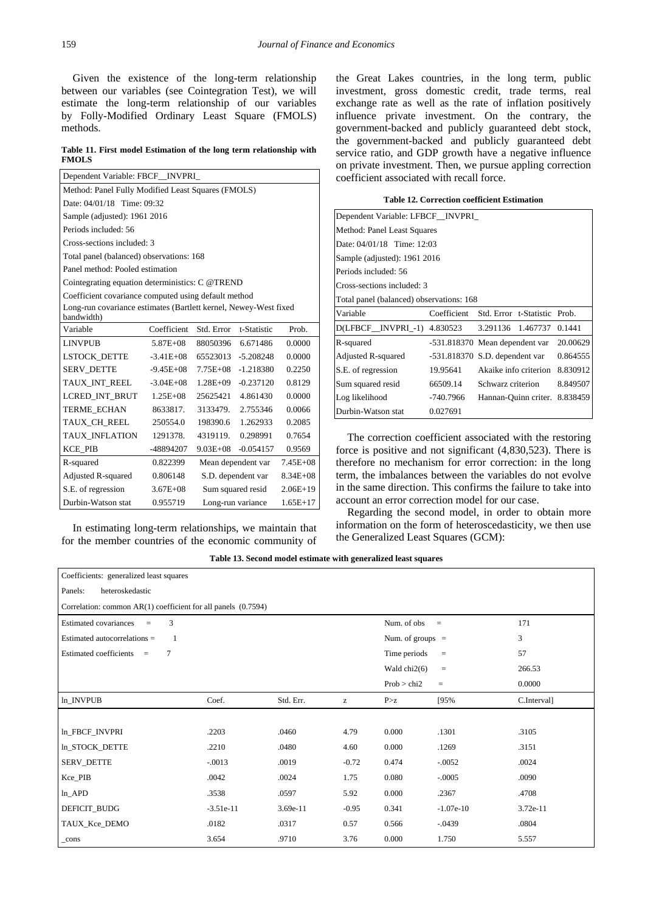Given the existence of the long-term relationship between our variables (see Cointegration Test), we will estimate the long-term relationship of our variables by Folly-Modified Ordinary Least Square (FMOLS) methods.

**Table 11. First model Estimation of the long term relationship with FMOLS** 

| Dependent Variable: FBCF_INVPRI_                                 |                                                    |                                    |             |        |  |
|------------------------------------------------------------------|----------------------------------------------------|------------------------------------|-------------|--------|--|
|                                                                  | Method: Panel Fully Modified Least Squares (FMOLS) |                                    |             |        |  |
| Date: 04/01/18 Time: 09:32                                       |                                                    |                                    |             |        |  |
| Sample (adjusted): 1961 2016                                     |                                                    |                                    |             |        |  |
| Periods included: 56                                             |                                                    |                                    |             |        |  |
| Cross-sections included: 3                                       |                                                    |                                    |             |        |  |
|                                                                  | Total panel (balanced) observations: 168           |                                    |             |        |  |
| Panel method: Pooled estimation                                  |                                                    |                                    |             |        |  |
| Cointegrating equation deterministics: C @TREND                  |                                                    |                                    |             |        |  |
| Coefficient covariance computed using default method             |                                                    |                                    |             |        |  |
| Long-run covariance estimates (Bartlett kernel, Newey-West fixed |                                                    |                                    |             |        |  |
| bandwidth)                                                       |                                                    |                                    |             |        |  |
| Variable                                                         | Coefficient                                        | Std. Error                         | t-Statistic | Prob.  |  |
| <b>LINVPUB</b>                                                   | $5.87E + 08$                                       | 88050396                           | 6.671486    | 0.0000 |  |
| <b>LSTOCK DETTE</b>                                              | $-3.41E+08$                                        | 65523013                           | $-5.208248$ | 0.0000 |  |
| <b>SERV DETTE</b>                                                | $-9.45E+08$                                        | $7.75E + 08$                       | $-1.218380$ | 0.2250 |  |
| TAUX_INT_REEL                                                    | $-3.04E + 08$                                      | $1.28E + 09$                       | $-0.237120$ | 0.8129 |  |
| LCRED INT BRUT                                                   | $1.25E + 08$                                       | 25625421                           | 4.861430    | 0.0000 |  |
| <b>TERME ECHAN</b>                                               | 8633817.                                           | 3133479.                           | 2.755346    | 0.0066 |  |
| TAUX_CH_REEL                                                     | 250554.0                                           | 198390.6                           | 1.262933    | 0.2085 |  |
| <b>TAUX INFLATION</b>                                            | 1291378.                                           | 4319119.                           | 0.298991    | 0.7654 |  |
| <b>KCE PIB</b>                                                   | -48894207                                          | $9.03E + 08$                       | $-0.054157$ | 0.9569 |  |
| R-squared                                                        | 0.822399                                           | $7.45E + 08$<br>Mean dependent var |             |        |  |
| Adjusted R-squared                                               | 0.806148                                           | S.D. dependent var<br>$8.34E + 08$ |             |        |  |
| S.E. of regression                                               | $3.67E + 08$                                       | Sum squared resid<br>$2.06E+19$    |             |        |  |
| Durbin-Watson stat                                               | 0.955719<br>$1.65E+17$<br>Long-run variance        |                                    |             |        |  |

In estimating long-term relationships, we maintain that for the member countries of the economic community of the Great Lakes countries, in the long term, public investment, gross domestic credit, trade terms, real exchange rate as well as the rate of inflation positively influence private investment. On the contrary, the government-backed and publicly guaranteed debt stock, the government-backed and publicly guaranteed debt service ratio, and GDP growth have a negative influence on private investment. Then, we pursue appling correction coefficient associated with recall force.

|  | <b>Table 12. Correction coefficient Estimation</b> |  |  |
|--|----------------------------------------------------|--|--|
|--|----------------------------------------------------|--|--|

| Dependent Variable: LFBCF_INVPRI_        |             |                                  |                              |          |  |  |
|------------------------------------------|-------------|----------------------------------|------------------------------|----------|--|--|
| Method: Panel Least Squares              |             |                                  |                              |          |  |  |
| Date: 04/01/18 Time: 12:03               |             |                                  |                              |          |  |  |
| Sample (adjusted): 1961 2016             |             |                                  |                              |          |  |  |
| Periods included: 56                     |             |                                  |                              |          |  |  |
| Cross-sections included: 3               |             |                                  |                              |          |  |  |
| Total panel (balanced) observations: 168 |             |                                  |                              |          |  |  |
| Variable                                 | Coefficient |                                  | Std. Error t-Statistic Prob. |          |  |  |
| D(LFBCF_INVPRI_-1) 4.830523              |             | 3.291136 1.467737                |                              | 0.1441   |  |  |
| R-squared                                |             | -531.818370 Mean dependent var   |                              | 20.00629 |  |  |
| <b>Adjusted R-squared</b>                |             | $-531.818370$ S.D. dependent var |                              | 0.864555 |  |  |
| S.E. of regression                       | 19.95641    | Akaike info criterion            |                              | 8.830912 |  |  |
| Sum squared resid                        | 66509.14    | Schwarz criterion                |                              | 8.849507 |  |  |
| Log likelihood                           | $-740.7966$ | Hannan-Quinn criter.             |                              | 8.838459 |  |  |
| Durbin-Watson stat                       | 0.027691    |                                  |                              |          |  |  |

The correction coefficient associated with the restoring force is positive and not significant (4,830,523). There is therefore no mechanism for error correction: in the long term, the imbalances between the variables do not evolve in the same direction. This confirms the failure to take into account an error correction model for our case.

Regarding the second model, in order to obtain more information on the form of heteroscedasticity, we then use the Generalized Least Squares (GCM):

**Table 13. Second model estimate with generalized least squares** 

| Coefficients: generalized least squares                           |             |           |         |                    |                 |             |
|-------------------------------------------------------------------|-------------|-----------|---------|--------------------|-----------------|-------------|
| heteroskedastic<br>Panels:                                        |             |           |         |                    |                 |             |
| Correlation: common $AR(1)$ coefficient for all panels $(0.7594)$ |             |           |         |                    |                 |             |
| 3<br><b>Estimated covariances</b><br>$\equiv$                     |             |           |         | Num. of obs        | $\equiv$        | 171         |
| Estimated autocorrelations =<br>1                                 |             |           |         | Num. of groups $=$ |                 | 3           |
| Estimated coefficients =<br>7                                     |             |           |         | Time periods       | $\quad \  \  =$ | 57          |
|                                                                   |             |           |         | Wald chi2(6)       | $\quad \  \  =$ | 266.53      |
|                                                                   |             |           |         | Prob > chi2        | $\equiv$        | 0.0000      |
| ln_INVPUB                                                         | Coef.       | Std. Err. | z       | P > z              | [95%            | C.Interval] |
|                                                                   |             |           |         |                    |                 |             |
| ln_FBCF_INVPRI                                                    | .2203       | .0460     | 4.79    | 0.000              | .1301           | .3105       |
| ln_STOCK_DETTE                                                    | .2210       | .0480     | 4.60    | 0.000              | .1269           | .3151       |
| SERV_DETTE                                                        | $-.0013$    | .0019     | $-0.72$ | 0.474              | $-.0052$        | .0024       |
| Kce_PIB                                                           | .0042       | .0024     | 1.75    | 0.080              | $-.0005$        | .0090       |
| $ln$ $APD$                                                        | .3538       | .0597     | 5.92    | 0.000              | .2367           | .4708       |
| DEFICIT_BUDG                                                      | $-3.51e-11$ | 3.69e-11  | $-0.95$ | 0.341              | $-1.07e-10$     | 3.72e-11    |
| TAUX_Kce_DEMO                                                     | .0182       | .0317     | 0.57    | 0.566              | $-.0439$        | .0804       |
| _cons                                                             | 3.654       | .9710     | 3.76    | 0.000              | 1.750           | 5.557       |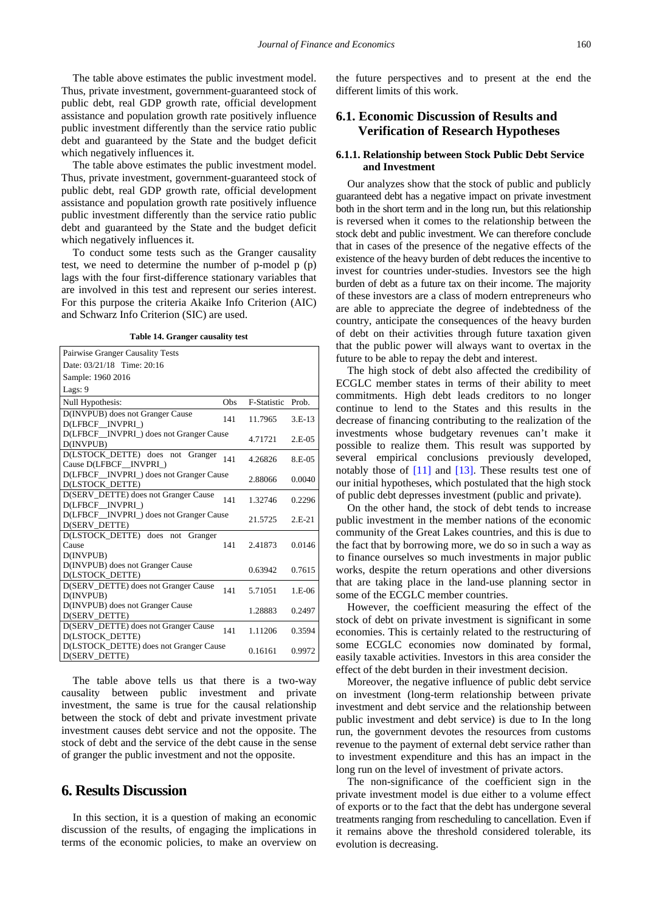The table above estimates the public investment model. Thus, private investment, government-guaranteed stock of public debt, real GDP growth rate, official development assistance and population growth rate positively influence public investment differently than the service ratio public debt and guaranteed by the State and the budget deficit which negatively influences it.

The table above estimates the public investment model. Thus, private investment, government-guaranteed stock of public debt, real GDP growth rate, official development assistance and population growth rate positively influence public investment differently than the service ratio public debt and guaranteed by the State and the budget deficit which negatively influences it.

To conduct some tests such as the Granger causality test, we need to determine the number of p-model p (p) lags with the four first-difference stationary variables that are involved in this test and represent our series interest. For this purpose the criteria Akaike Info Criterion (AIC) and Schwarz Info Criterion (SIC) are used.

**Table 14. Granger causality test**

| Pairwise Granger Causality Tests                          |      |                   |          |
|-----------------------------------------------------------|------|-------------------|----------|
| Date: 03/21/18 Time: 20:16                                |      |                   |          |
| Sample: 1960 2016                                         |      |                   |          |
| Lags: 9                                                   |      |                   |          |
| Null Hypothesis:                                          | Obs. | F-Statistic Prob. |          |
| D(INVPUB) does not Granger Cause<br>D(LFBCF INVPRI)       | 141  | 11.7965           | $3.E-13$ |
| D(LFBCF_INVPRI_) does not Granger Cause<br>D(INVPUB)      |      | 4.71721           | $2.E-05$ |
| D(LSTOCK_DETTE) does not Granger<br>Cause D(LFBCF INVPRI) | 141  | 4.26826           | 8.E-05   |
| D(LFBCF INVPRI) does not Granger Cause<br>D(LSTOCK DETTE) |      | 2.88066           | 0.0040   |
| D(SERV_DETTE) does not Granger Cause<br>D(LFBCF INVPRI)   | 141  | 1.32746           | 0.2296   |
| D(LFBCF_INVPRI_) does not Granger Cause<br>D(SERV DETTE)  |      | 21.5725           | $2.E-21$ |
| D(LSTOCK DETTE) does not<br>Granger<br>Cause<br>D(INVPUB) | 141  | 2.41873           | 0.0146   |
| D(INVPUB) does not Granger Cause<br>D(LSTOCK DETTE)       |      | 0.63942           | 0.7615   |
| D(SERV_DETTE) does not Granger Cause<br>D(INVPUB)         | 141  | 5.71051           | $1.E-06$ |
| D(INVPUB) does not Granger Cause<br>D(SERV_DETTE)         |      | 1.28883           | 0.2497   |
| D(SERV DETTE) does not Granger Cause<br>D(LSTOCK DETTE)   | 141  | 1.11206           | 0.3594   |
| D(LSTOCK_DETTE) does not Granger Cause<br>D(SERV_DETTE)   |      | 0.16161           | 0.9972   |

The table above tells us that there is a two-way causality between public investment and private investment, the same is true for the causal relationship between the stock of debt and private investment private investment causes debt service and not the opposite. The stock of debt and the service of the debt cause in the sense of granger the public investment and not the opposite.

# **6. Results Discussion**

In this section, it is a question of making an economic discussion of the results, of engaging the implications in terms of the economic policies, to make an overview on the future perspectives and to present at the end the different limits of this work.

# **6.1. Economic Discussion of Results and Verification of Research Hypotheses**

### **6.1.1. Relationship between Stock Public Debt Service and Investment**

Our analyzes show that the stock of public and publicly guaranteed debt has a negative impact on private investment both in the short term and in the long run, but this relationship is reversed when it comes to the relationship between the stock debt and public investment. We can therefore conclude that in cases of the presence of the negative effects of the existence of the heavy burden of debt reduces the incentive to invest for countries under-studies. Investors see the high burden of debt as a future tax on their income. The majority of these investors are a class of modern entrepreneurs who are able to appreciate the degree of indebtedness of the country, anticipate the consequences of the heavy burden of debt on their activities through future taxation given that the public power will always want to overtax in the future to be able to repay the debt and interest.

The high stock of debt also affected the credibility of ECGLC member states in terms of their ability to meet commitments. High debt leads creditors to no longer continue to lend to the States and this results in the decrease of financing contributing to the realization of the investments whose budgetary revenues can't make it possible to realize them. This result was supported by several empirical conclusions previously developed, notably those of [\[11\]](#page-14-9) and [\[13\].](#page-14-11) These results test one of our initial hypotheses, which postulated that the high stock of public debt depresses investment (public and private).

On the other hand, the stock of debt tends to increase public investment in the member nations of the economic community of the Great Lakes countries, and this is due to the fact that by borrowing more, we do so in such a way as to finance ourselves so much investments in major public works, despite the return operations and other diversions that are taking place in the land-use planning sector in some of the ECGLC member countries.

However, the coefficient measuring the effect of the stock of debt on private investment is significant in some economies. This is certainly related to the restructuring of some ECGLC economies now dominated by formal, easily taxable activities. Investors in this area consider the effect of the debt burden in their investment decision.

Moreover, the negative influence of public debt service on investment (long-term relationship between private investment and debt service and the relationship between public investment and debt service) is due to In the long run, the government devotes the resources from customs revenue to the payment of external debt service rather than to investment expenditure and this has an impact in the long run on the level of investment of private actors.

The non-significance of the coefficient sign in the private investment model is due either to a volume effect of exports or to the fact that the debt has undergone several treatments ranging from rescheduling to cancellation. Even if it remains above the threshold considered tolerable, its evolution is decreasing.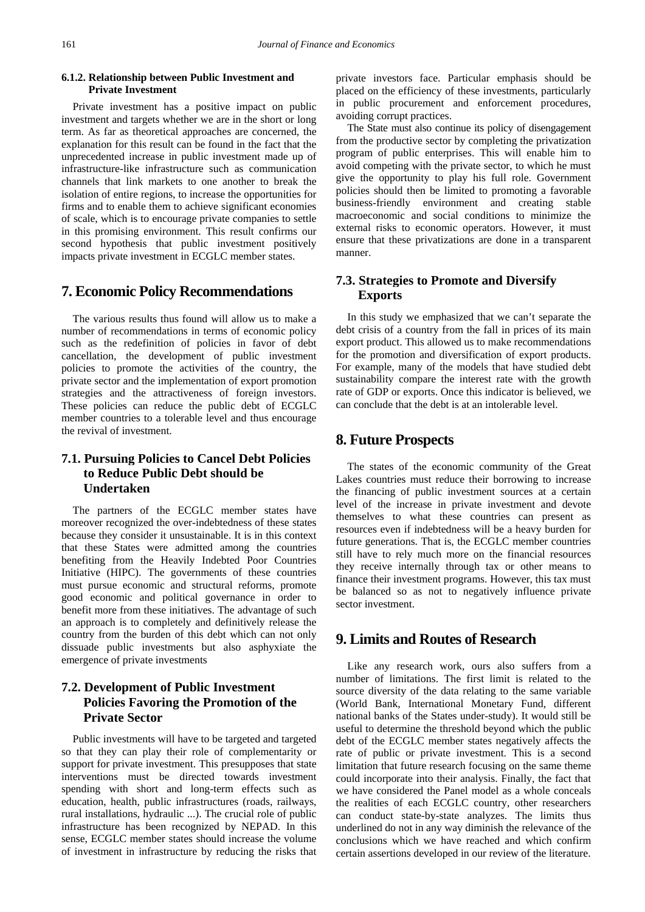### **6.1.2. Relationship between Public Investment and Private Investment**

Private investment has a positive impact on public investment and targets whether we are in the short or long term. As far as theoretical approaches are concerned, the explanation for this result can be found in the fact that the unprecedented increase in public investment made up of infrastructure-like infrastructure such as communication channels that link markets to one another to break the isolation of entire regions, to increase the opportunities for firms and to enable them to achieve significant economies of scale, which is to encourage private companies to settle in this promising environment. This result confirms our second hypothesis that public investment positively impacts private investment in ECGLC member states.

### **7. Economic Policy Recommendations**

The various results thus found will allow us to make a number of recommendations in terms of economic policy such as the redefinition of policies in favor of debt cancellation, the development of public investment policies to promote the activities of the country, the private sector and the implementation of export promotion strategies and the attractiveness of foreign investors. These policies can reduce the public debt of ECGLC member countries to a tolerable level and thus encourage the revival of investment.

# **7.1. Pursuing Policies to Cancel Debt Policies to Reduce Public Debt should be Undertaken**

The partners of the ECGLC member states have moreover recognized the over-indebtedness of these states because they consider it unsustainable. It is in this context that these States were admitted among the countries benefiting from the Heavily Indebted Poor Countries Initiative (HIPC). The governments of these countries must pursue economic and structural reforms, promote good economic and political governance in order to benefit more from these initiatives. The advantage of such an approach is to completely and definitively release the country from the burden of this debt which can not only dissuade public investments but also asphyxiate the emergence of private investments

# **7.2. Development of Public Investment Policies Favoring the Promotion of the Private Sector**

Public investments will have to be targeted and targeted so that they can play their role of complementarity or support for private investment. This presupposes that state interventions must be directed towards investment spending with short and long-term effects such as education, health, public infrastructures (roads, railways, rural installations, hydraulic ...). The crucial role of public infrastructure has been recognized by NEPAD. In this sense, ECGLC member states should increase the volume of investment in infrastructure by reducing the risks that

private investors face. Particular emphasis should be placed on the efficiency of these investments, particularly in public procurement and enforcement procedures, avoiding corrupt practices.

The State must also continue its policy of disengagement from the productive sector by completing the privatization program of public enterprises. This will enable him to avoid competing with the private sector, to which he must give the opportunity to play his full role. Government policies should then be limited to promoting a favorable business-friendly environment and creating stable macroeconomic and social conditions to minimize the external risks to economic operators. However, it must ensure that these privatizations are done in a transparent manner.

### **7.3. Strategies to Promote and Diversify Exports**

In this study we emphasized that we can't separate the debt crisis of a country from the fall in prices of its main export product. This allowed us to make recommendations for the promotion and diversification of export products. For example, many of the models that have studied debt sustainability compare the interest rate with the growth rate of GDP or exports. Once this indicator is believed, we can conclude that the debt is at an intolerable level.

# **8. Future Prospects**

The states of the economic community of the Great Lakes countries must reduce their borrowing to increase the financing of public investment sources at a certain level of the increase in private investment and devote themselves to what these countries can present as resources even if indebtedness will be a heavy burden for future generations. That is, the ECGLC member countries still have to rely much more on the financial resources they receive internally through tax or other means to finance their investment programs. However, this tax must be balanced so as not to negatively influence private sector investment.

# **9. Limits and Routes of Research**

Like any research work, ours also suffers from a number of limitations. The first limit is related to the source diversity of the data relating to the same variable (World Bank, International Monetary Fund, different national banks of the States under-study). It would still be useful to determine the threshold beyond which the public debt of the ECGLC member states negatively affects the rate of public or private investment. This is a second limitation that future research focusing on the same theme could incorporate into their analysis. Finally, the fact that we have considered the Panel model as a whole conceals the realities of each ECGLC country, other researchers can conduct state-by-state analyzes. The limits thus underlined do not in any way diminish the relevance of the conclusions which we have reached and which confirm certain assertions developed in our review of the literature.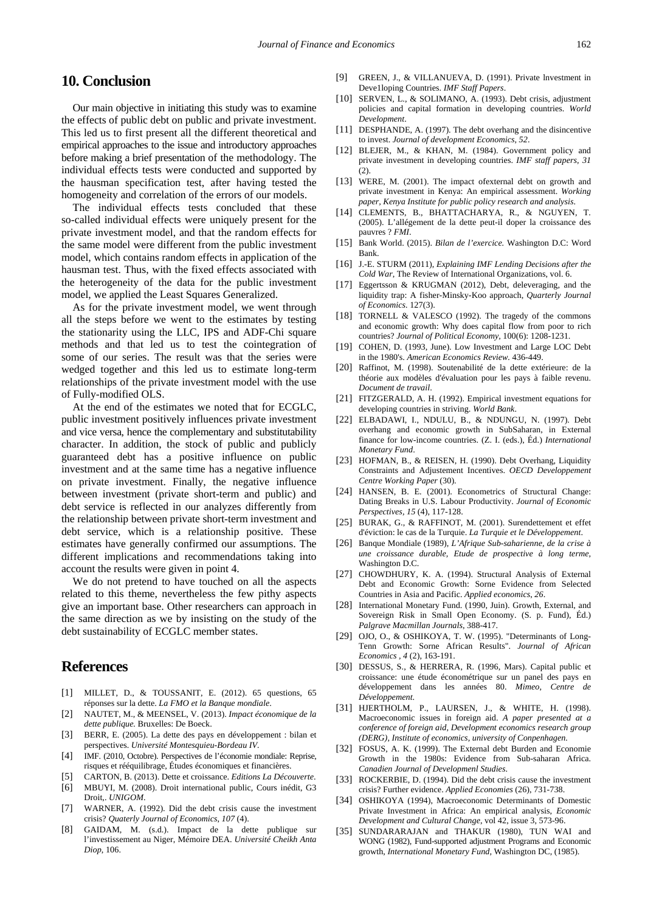# <span id="page-14-0"></span>**10. Conclusion**

Our main objective in initiating this study was to examine the effects of public debt on public and private investment. This led us to first present all the different theoretical and empirical approaches to the issue and introductory approaches before making a brief presentation of the methodology. The individual effects tests were conducted and supported by the hausman specification test, after having tested the homogeneity and correlation of the errors of our models.

The individual effects tests concluded that these so-called individual effects were uniquely present for the private investment model, and that the random effects for the same model were different from the public investment model, which contains random effects in application of the hausman test. Thus, with the fixed effects associated with the heterogeneity of the data for the public investment model, we applied the Least Squares Generalized.

As for the private investment model, we went through all the steps before we went to the estimates by testing the stationarity using the LLC, IPS and ADF-Chi square methods and that led us to test the cointegration of some of our series. The result was that the series were wedged together and this led us to estimate long-term relationships of the private investment model with the use of Fully-modified OLS.

At the end of the estimates we noted that for ECGLC, public investment positively influences private investment and vice versa, hence the complementary and substitutability character. In addition, the stock of public and publicly guaranteed debt has a positive influence on public investment and at the same time has a negative influence on private investment. Finally, the negative influence between investment (private short-term and public) and debt service is reflected in our analyzes differently from the relationship between private short-term investment and debt service, which is a relationship positive. These estimates have generally confirmed our assumptions. The different implications and recommendations taking into account the results were given in point 4.

We do not pretend to have touched on all the aspects related to this theme, nevertheless the few pithy aspects give an important base. Other researchers can approach in the same direction as we by insisting on the study of the debt sustainability of ECGLC member states.

# **References**

- [1] MILLET, D., & TOUSSANIT, E. (2012). 65 questions, 65 réponses sur la dette. *La FMO et la Banque mondiale*.
- <span id="page-14-1"></span>[2] NAUTET, M., & MEENSEL, V. (2013). *Impact économique de la dette publique.* Bruxelles: De Boeck.
- <span id="page-14-2"></span>[3] BERR, E. (2005). La dette des pays en développement : bilan et perspectives. *Université Montesquieu-Bordeau IV.*
- <span id="page-14-4"></span>[4] IMF. (2010, Octobre). Perspectives de l'économie mondiale: Reprise, risques et rééquilibrage, Études économiques et financières.
- <span id="page-14-5"></span>[5] CARTON, B. (2013). Dette et croissance. *Editions La Découverte*. [6] MBUYI, M. (2008). Droit international public, Cours inédit, G3
- <span id="page-14-6"></span>Droit,. *UNIGOM*.
- <span id="page-14-7"></span>[7] WARNER, A. (1992). Did the debt crisis cause the investment crisis? *Quaterly Journal of Economics*, *107* (4).
- <span id="page-14-3"></span>[8] GAIDAM, M. (s.d.). Impact de la dette publique sur l'investissement au Niger, Mémoire DEA. *Université Cheikh Anta Diop*, 106.
- <span id="page-14-8"></span>[9] GREEN, J., & VILLANUEVA, D. (1991). Private lnvestment in Deve1loping Countries. *IMF Staff Papers*.
- [10] SERVEN, L., & SOLIMANO, A. (1993). Debt crisis, adjustment policies and capital formation in developing countries. *World Development*.
- <span id="page-14-9"></span>[11] DESPHANDE, A. (1997). The debt overhang and the disincentive to invest. *Journal of development Economics, 52*.
- <span id="page-14-10"></span>[12] BLEJER, M., & KHAN, M. (1984). Government policy and private investment in developing countries. *IMF staff papers, 31* (2).
- <span id="page-14-11"></span>[13] WERE, M. (2001). The impact ofexternal debt on growth and private investment in Kenya: An empirical assessment. *Working paper, Kenya Institute for public policy research and analysis*.
- <span id="page-14-12"></span>[14] CLEMENTS, B., BHATTACHARYA, R., & NGUYEN, T. (2005). L'allégement de la dette peut-il doper la croissance des pauvres ? *FMI*.
- <span id="page-14-13"></span>[15] Bank World. (2015). *Bilan de l'exercice.* Washington D.C: Word Bank.
- <span id="page-14-14"></span>[16] J.-E. STURM (2011), *Explaining IMF Lending Decisions after the Cold War*, The Review of International Organizations, vol. 6.
- <span id="page-14-15"></span>[17] Eggertsson & KRUGMAN (2012), Debt, deleveraging, and the liquidity trap: A fisher-Minsky-Koo approach, *Quarterly Journal of Economics.* 127(3).
- [18] TORNELL & VALESCO (1992). The tragedy of the commons and economic growth: Why does capital flow from poor to rich countries? *Journal of Political Economy,* 100(6): 1208-1231.
- <span id="page-14-16"></span>[19] COHEN, D. (1993, June). Low Investment and Large LOC Debt in the 1980's. *American Economics Review.* 436-449.
- <span id="page-14-17"></span>[20] Raffinot, M. (1998). Soutenabilité de la dette extérieure: de la théorie aux modèles d'évaluation pour les pays à faible revenu. *Document de travail*.
- <span id="page-14-18"></span>[21] FITZGERALD, A. H. (1992). Empirical investment equations for developing countries in striving. *World Bank*.
- <span id="page-14-27"></span>[22] ELBADAWI, I., NDULU, B., & NDUNGU, N. (1997). Debt overhang and economic growth in SubSaharan, in External finance for low-income countries. (Z. I. (eds.), Éd.) *International Monetary Fund*.
- <span id="page-14-19"></span>[23] HOFMAN, B., & REISEN, H. (1990). Debt Overhang, Liquidity Constraints and Adjustement Incentives. *OECD Developpement Centre Working Paper* (30).
- <span id="page-14-20"></span>[24] HANSEN, B. E. (2001). Econometrics of Structural Change: Dating Breaks in U.S. Labour Productivity. *Journal of Economic Perspectives, 15* (4), 117-128.
- <span id="page-14-21"></span>[25] BURAK, G., & RAFFINOT, M. (2001). Surendettement et effet d'éviction: le cas de la Turquie. *La Turquie et le Développement*.
- <span id="page-14-22"></span>[26] Banque Mondiale (1989), *L'Afrique Sub-saharienne, de la crise à une croissance durable, Etude de prospective à long terme,*  Washington D.C.
- <span id="page-14-23"></span>[27] CHOWDHURY, K. A. (1994). Structural Analysis of External Debt and Economic Growth: Sorne Evidence from Selected Countries in Asia and Pacific. *Applied economics*, *26*.
- <span id="page-14-24"></span>[28] International Monetary Fund. (1990, Juin). Growth, External, and Sovereign Risk in Small Open Economy. (S. p. Fund), Éd.) *Palgrave Macmillan Journals*, 388-417.
- <span id="page-14-25"></span>[29] OJO, O., & OSHIKOYA, T. W. (1995). "Determinants of Long-Tenn Growth: Sorne African Results". *Journal of African Economics , 4* (2), 163-191.
- <span id="page-14-26"></span>[30] DESSUS, S., & HERRERA, R. (1996, Mars). Capital public et croissance: une étude économétrique sur un panel des pays en développement dans les années 80. *Mimeo, Centre de Développement*.
- <span id="page-14-28"></span>[31] HJERTHOLM, P., LAURSEN, J., & WHITE, H. (1998). Macroeconomic issues in foreign aid. *A paper presented at a conference of foreign aid, Development economics research group (DERG), Institute of economics, university of Conpenhagen.*
- <span id="page-14-29"></span>[32] FOSUS, A. K. (1999). The External debt Burden and Economie Growth in the 1980s: Evidence from Sub-saharan Africa. *Canadien Journal of Developmenl Studies*.
- <span id="page-14-30"></span>[33] ROCKERBIE, D. (1994). Did the debt crisis cause the investment crisis? Further evidence. *Applied Economies* (26), 731-738.
- <span id="page-14-31"></span>[34] OSHIKOYA (1994), Macroeconomic Determinants of Domestic Private Investment in Africa: An empirical analysis, *Economic Development and Cultural Change*, vol 42, issue 3, 573-96.
- [35] SUNDARARAJAN and THAKUR (1980), TUN WAI and WONG (1982), Fund-supported adjustment Programs and Economic growth, *International Monetary Fund,* Washington DC, (1985).